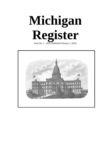**Michigan Register**

Issue No.  $1 - 2022$  (Published February 1, 2022)

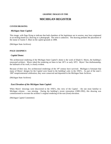#### **GRAPHIC IMAGES IN THE**

# **MICHIGAN REGISTER**

#### **COVER DRAWING**

#### *Michigan State Capitol:*

This image, with flags flying to indicate that both chambers of the legislature are in session, may have originated as an etching based on a drawing or a photograph. The artist is unknown. The drawing predates the placement of the statue of Austin T. Blair on the capitol grounds in 1898.

(Michigan State Archives)

#### **PAGE GRAPHICS**

#### *Capitol Dome:*

The architectural rendering of the Michigan State Capitol's dome is the work of Elijah E. Myers, the building's renowned architect. Myers inked the rendering on linen in late 1871 or early 1872. Myers' fine draftsmanship, the hallmark of his work, is clearly evident.

Because of their size, few architectural renderings of the 19<sup>th</sup> century have survived. Michigan is fortunate that many of Myers' designs for the Capitol were found in the building's attic in the 1950's. As part of the state's 1987 sesquicentennial celebration, they were conserved and deposited in the Michigan State Archives.

(Michigan State Archives)

#### *East Elevation of the Michigan State Capitol:*

When Myers' drawings were discovered in the 1950's, this view of the Capitol – the one most familiar to Michigan citizens – was missing. During the building's recent restoration (1989-1992), this drawing was commissioned to recreate the architect's original rendering of the east (front) elevation.

(Michigan Capitol Committee)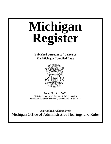# **Michigan Register**

**Published pursuant to § 24.208 of The Michigan Compiled Laws** 



Issue No. 1— 2022 (This issue, published February 1, 2022, contains documents filed from January 1, 2022 to January 15, 2022)

Compiled and Published by the Michigan Office of Administrative Hearings and Rules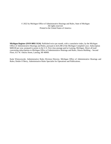#### © 2022 by Michigan Office of Administrative Hearings and Rules, State of Michigan All rights reserved. Printed in the United States of America

**Michigan Register (ISSN 0892-3124)**. Published twice per month, with a cumulative index, by the Michigan Office of Administrative Hearings and Rules, pursuant to §24.208 of the Michigan Compiled Laws. Subscription \$400.00 per year, postpaid to points in the U.S. First class postage paid at Lansing, Michigan. Direct all mail concerning subscriptions to Michigan Office of Administrative Hearings and Rules, Ottawa Building – Second Floor, 611 W. Ottawa Street, Lansing, MI 48909.

Katie Wienczewski, Administrative Rules Division Director, Michigan Office of Administrative Hearings and Rules; Deidre O'Berry, Administrative Rules Specialist for Operations and Publications.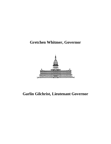# **Gretchen Whitmer, Governor**



# **Garlin Gilchrist, Lieutenant Governor**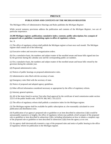#### **PREFACE**

#### **PUBLICATION AND CONTENTS OF THE MICHIGAN REGISTER**

The Michigan Office of Administrative Hearings and Rules publishes the *Michigan Register*.

While several statutory provisions address the publication and contents of the *Michigan Register*, two are of particular importance.

#### **24.208 Michigan register; publication; cumulative index; contents; public subscription; fee; synopsis of proposed rule or guideline; transmitting copies to office of regulatory reform.**

Sec. 8.

(1) The office of regulatory reform shall publish the Michigan register at least once each month. The Michigan register shall contain all of the following:

(a) Executive orders and executive reorganization orders.

(b) On a cumulative basis, the numbers and subject matter of the enrolled senate and house bills signed into law by the governor during the calendar year and the corresponding public act numbers.

(c) On a cumulative basis, the numbers and subject matter of the enrolled senate and house bills vetoed by the governor during the calendar year.

(d) Proposed administrative rules.

(e) Notices of public hearings on proposed administrative rules.

(f) Administrative rules filed with the secretary of state.

(g) Emergency rules filed with the secretary of state.

(h) Notice of proposed and adopted agency guidelines.

(i) Other official information considered necessary or appropriate by the office of regulatory reform.

(j) Attorney general opinions.

(k) All of the items listed in section 7(m) after final approval by the certificate of need commission under section 22215 of the public health code, 1978 PA 368, MCL 333.22215.

(2) The office of regulatory reform shall publish a cumulative index for the Michigan register.

(3) The Michigan register shall be available for public subscription at a fee reasonably calculated to cover publication and distribution costs.

(4) If publication of an agency's proposed rule or guideline or an item described in subsection (1)(k) would be unreasonably expensive or lengthy, the office of regulatory reform may publish a brief synopsis of the proposed rule or guideline or item described in subsection  $(1)(k)$ , including information on how to obtain a complete copy of the proposed rule or guideline or item described in subsection  $(1)(k)$  from the agency at no cost.

(5) An agency shall electronically transmit a copy of the proposed rules and notice of public hearing to the office of regulatory reform for publication in the Michigan register.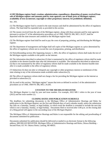**4.1203 Michigan register fund; creation; administration; expenditures; disposition of money received from sale of Michigan register and amounts paid by state agencies; use of fund; price of Michigan register; availability of text on internet; copyright or other proprietary interest; fee prohibited; definition.**

Sec. 203.

(1) The Michigan register fund is created in the state treasury and shall be administered by the office of regulatory reform. The fund shall be expended only as provided in this section.

(2) The money received from the sale of the Michigan register, along with those amounts paid by state agencies pursuant to section 57 of the administrative procedures act of 1969, 1969 PA 306, MCL 24.257, shall be deposited with the state treasurer and credited to the Michigan register fund.

(3) The Michigan register fund shall be used to pay the costs of preparing, printing, and distributing the Michigan register.

(4) The department of management and budget shall sell copies of the Michigan register at a price determined by the office of regulatory reform not to exceed the cost of preparation, printing, and distribution.

(5) Notwithstanding section 204, beginning January 1, 2001, the office of regulatory reform shall make the text of the Michigan register available to the public on the internet.

(6) The information described in subsection (5) that is maintained by the office of regulatory reform shall be made available in the shortest feasible time after the information is available. The information described in subsection (5) that is not maintained by the office of regulatory reform shall be made available in the shortest feasible time after it is made available to the office of regulatory reform.

(7) Subsection (5) does not alter or relinquish any copyright or other proprietary interest or entitlement of this state relating to any of the information made available under subsection (5).

(8) The office of regulatory reform shall not charge a fee for providing the Michigan register on the internet as provided in subsection (5).

(9) As used in this section, "Michigan register" means that term as defined in section 5 of the administrative procedures act of 1969, 1969 PA 306, MCL 24.205.

#### **CITATION TO THE MICHIGAN REGISTER**

The *Michigan Register* is cited by year and issue number. For example, 2022 MR 1 refers to the year of issue (2022) and the issue number (1).

#### **CLOSING DATES AND PUBLICATION SCHEDULE**

The deadlines for submitting documents to the Michigan Office of Administrative Hearings and Rules for publication in the *Michigan Register* are the first and fifteenth days of each calendar month, unless the submission day falls on a Saturday, Sunday, or legal holiday, in which event the deadline is extended to include the next day which is not a Saturday, Sunday, or legal holiday. Documents filed or received after 5:00 p.m. on the closing date of a filing period will appear in the succeeding issue of the *Michigan Register*.

The Michigan Office of Administrative Hearings and Rules is not responsible for the editing and proofreading of documents submitted for publication.

Documents submitted for publication should be delivered or mailed in an electronic format to the following address: MICHIGAN REGISTER, Michigan Office of Administrative Hearings and Rules, Ottawa Building – Second Floor, 611 W. Ottawa Street, Lansing, MI 48933.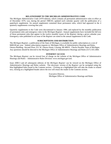#### **RELATIONSHIP TO THE MICHIGAN ADMINISTRATIVE CODE**

The *Michigan Administrative Code* (1979 edition), which contains all permanent administrative rules in effect as of December 1979, was, during the period 1980-83, updated each calendar quarter with the publication of a paperback supplement. An annual supplement contained those permanent rules, which had appeared in the 4 quarterly supplements covering that year.

Quarterly supplements to the Code were discontinued in January 1984, and replaced by the monthly publication of permanent rules and emergency rules in the *Michigan Register*. Annual supplements have included the full text of those permanent rules that appear in the twelve monthly issues of the *Register* during a given calendar year. Emergency rules published in an issue of the *Register* are noted in the annual supplement to the Code.

#### **SUBSCRIPTIONS AND DISTRIBUTION**

The *Michigan Register*, a publication of the State of Michigan, is available for public subscription at a cost of \$400.00 per year. Submit subscription requests to: Michigan Office of Administrative Hearings and Rules, Ottawa Building –Second Floor, 611 W. Ottawa Street, Lansing, MI 48933. Checks Payable: State of Michigan. Any questions should be directed to the Michigan Office of Administrative Hearings and Rules (517) 335-2484.

#### **INTERNET ACCESS**

The *Michigan Register* can be viewed free of charge on the website of the Michigan Office of Administrative Hearings and Rules – Administrative Rules Division: www.michigan.gov/ard.

Issue 2000-3 and all subsequent editions of the *Michigan Register* can be viewed on the Michigan Office of Administrative Hearings and Rules website. The electronic version of the *Register* can be navigated using the blue highlighted links found in the Contents section. Clicking on a highlighted title will take the reader to related text, clicking on a highlighted header above the text will return the reader to the Contents section.

> Executive Director, Michigan Office of Administrative Hearings and Rules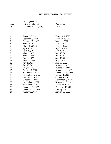# **2022 PUBLICATION SCHEDULE**

|                  | Closing Date for                              |                     |  |
|------------------|-----------------------------------------------|---------------------|--|
| Issue<br>No.     | Filing or Submission<br>Of Documents (5 p.m.) | Publication<br>Date |  |
|                  |                                               |                     |  |
|                  |                                               |                     |  |
| $\mathbf{1}$     | January 15, 2022                              | February 1, 2022    |  |
| $\overline{c}$   | February 1, 2022                              | February 15, 2022   |  |
| 3                | February 15, 2022                             | March 1, 2022       |  |
| $\overline{4}$   | March 1, 2022                                 | March 15, 2022      |  |
| 5                | March 15, 2022                                | April 1, 2022       |  |
| 6                | April 1, 2022                                 | April 15, 2022      |  |
| $\boldsymbol{7}$ | April 15, 2022                                | May 1, 2022         |  |
| 8                | May 1, 2022                                   | May 15, 2022        |  |
| 9                | May 15, 2022                                  | June 1, 2022        |  |
| 10               | June 1, 2022                                  | June 15, 2022       |  |
| 11               | June 15, 2022                                 | July 1, 2022        |  |
| 12               | July 1, 2022                                  | July 15, 2022       |  |
| 13               | July 15, 2022                                 | August 1, 2022      |  |
| 14               | August 1, 2022                                | August 15, 2022     |  |
| 15               | August 15, 2022                               | September 1, 2022   |  |
| 16               | September 1, 2022                             | September 15, 2022  |  |
| 17               | September 15, 2022                            | October 1, 2022     |  |
| 18               | October 1, 2022                               | October 15, 2022    |  |
| 19               | October 15, 2022                              | November 1, 2022    |  |
| 20               | November 1, 2022                              | November 15, 2022   |  |
| 21               | November 15, 2022                             | December 1, 2022    |  |
| 22               | December 1, 2022                              | December 15, 2022   |  |
| 23               | December 15, 2022                             | January 1, 2023     |  |
| 24               | <b>January 1, 2023</b>                        | January 15, 2023    |  |
|                  |                                               |                     |  |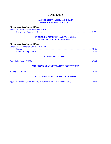# **CONTENTS**

#### **ADMINISTRATIVE RULES FILED WITH SECRETARY OF STATE**

#### **Licensing & Regulatory Affairs**

Bureau of Professional Licensing (2020-82) Pharmacy - Controlled Substances ................................................................................... 2-25

#### **PROPOSED ADMINISTRATIVE RULES, NOTICES OF PUBLIC HEARINGS**

#### **Licensing & Regulatory Affairs**

| <b>Bureau of Construction Codes (2019-138)</b> |  |
|------------------------------------------------|--|
|                                                |  |
|                                                |  |

#### **CUMULATIVE INDEX**

Cumulative Index (2022) .............................................................................................................. 46-47

# **MICHIGAN ADMINISTRATIVE CODE TABLE**

Table (2022 Session)..................................................................................................................... 48-48

# **BILLS SIGNED INTO LAW OR VETOED**

Appendix Table 1 (2021 Session) (Legislative Service Bureau Pages (1-21) .............................. 49-49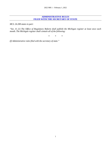# **ADMINISTRATIVE RULES FILED WITH THE SECRETARY OF STATE**

*MCL 24.208 states in part:* 

*"Sec. 8. (1) The Office of Regulatory Reform shall publish the Michigan register at least once each month. The Michigan register shall contain all of the following:* 

*\* \* \** 

*(f) Administrative rules filed with the secretary of state."*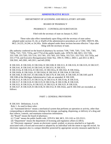#### **ADMINISTRATIVE RULES**

#### DEPARTMENT OF LICENSING AND REGULATORY AFFAIRS

#### BOARD OF PHARMACY

#### PHARMACY – CONTROLLED SUBSTANCES

#### Filed with the secretary of state on January 6, 2022

These rules take effect immediately upon filing with the secretary of state unless adopted under section 33, 44, or 45a(9) of the administrative procedures act of 1969, 1969 PA 306, MCL 24.233, 24.244, or 24.245a. Rules adopted under these sections become effective 7 days after filing with the secretary of state.

(By authority conferred on the board of pharmacy by sections 7106, 7109, 7203, 7216, 7301, 7303, 7303a, 7321, 7333, 7333a, and 17754 of the public health code, 1978 PA 368, MCL 333.7106, 333.7109, 333.7203, 333.7216, 333.7301, 333.7303, 333.7303a, 333.7321, 333.7333, 333.7333a, and 333.17754, and Executive Reorganization Order Nos. 1991-9, 1996-2, 2003-1, and 2011-4, MCL 338.3501, 445.2001, 445.2011, and 445.2030)

R 338.3101, R 338.3102, R 338.3104, R 338.3108, R 338.3111, R 338.3132, R 338.3135, R 338.3137, R 338.3141, R 338.3143, R 338.3145, R 338.3151, R 338.3153, R 338.3153a, R 338.3154, R 338.3161, R 338.3161a, R 338.3162, R 338.3162a, R 338.3162b, R 338.3162c, R 338.3162d, R 338.3163, R 338.3164, R 338.3165, R 338.3166, R 338.3167, R 338.3168, R 338.3170, R 338.3181, R 338.3183, R 338.3185 and R 338.3186 of the Michigan Administrative Code are amended, R 338.3109, R 338.3112, R 338.3113, R 338.3113a, R 338.3114, R 338.3114a, R 338.3116, R 338.3117, R 338.3118, R 338.3119, R 338.3119a, R 338.3119b, R 338.3120, R 338.3121, R 338.3121a, R 338.3122, R 338.3123, R 338.3125, R 338.3126, R 338.3127, R 338.3129, R 338.3136, R 338.3152, R 338.3162e, and R 338.3182 are rescinded, as follows:

#### PART 1. GENERAL PROVISIONS

R 338.3101 Definitions; A to H.

Rule 1. As used in these rules:

(a) "Automated device" means a mechanical system that performs an operation or activity, other than compounding or administration, relating to the storage, packaging, dispensing, or delivery of a drug and that collects, controls, and maintains transaction information.

(b) "Board" means the board of pharmacy.

(c) "Code" means the public health code, 1978 PA 368, MCL 333.1101 to 333.25211.

(d) "Department" means the department of licensing and regulatory affairs (LARA).

 (e) "Electronic signature" means an electronic sound, symbol, or process attached to or logically associated with a record and executed or adopted by an individual with the intent to sign the record. An electronic signature also is a unique identifier protected by appropriate security measures such that it is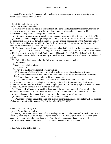only available for use by the intended individual and ensures nonrepudiation so that the signature may not be rejected based on its validity.

R 338.3102 Definitions; I to P.

Rule 2. As used in these rules:

 (a) "Inventory" means all stocks in finished form of a controlled substance that are manufactured or otherwise acquired by a licensee, whether in bulk or commercial containers or contained in pharmaceutical preparations in the possession of the licensee.

(b) "Licensee" means a person who is licensed pursuant to section 7303 of the code, MCL 333.7303.

 (c) "Michigan automated prescription system (MAPS) claim form" means a form, to be determined by the department, that is in the format and includes the information as specified by the American Society for Automation in Pharmacy (ASAP) 4.1 Standard for Prescription Drug Monitoring Programs and contains the information specified in R 338.3162b.

 (d) "National drug code number (NDC)" means a number that identifies the labeler, vendor, product, and package size and is assigned to each drug product listed under section 510 Registration of Producers of Drugs and Devices, of the Federal Food, Drug, and Cosmetic Act (FDCA) of 2017, 21 USC 360.

 (e) "Officer" means a federal, state, county, or local law enforcement officer who enforces the laws of this state.

(f) "Patient identifier" means all of the following information about a patient:

(i) Full name.

(ii) Address, including zip code.

(iii) Date of birth.

(iv) Any 1 of the following identification numbers:

(A) A state-issued driver's license number obtained from a state-issued driver's license.

(B) A state-issued identification number obtained from a state-issued photo identification card.

(C) A federal passport number obtained from a federal passport.

 (D) The number zero. Zeroes must be entered as the identification number, if the positive identification presented for the patient or client does not include a license number, identification number, or passport number as listed in subparagraphs (A) to (C) of this paragraph, the patient is under the age of 16, or the animal's owner cannot be identified.

 (g) "Positive identification" means identification that includes a photograph of an individual in addition to his or her date of birth. Positive identification includes an identification card issued by a governmental agency, if the identification card meets the requirements of this rule.

(h) "Medical institution" means the term as defined in R 338.486.

 (i) "Pharmacy services" means the direct and indirect patient care services associated with the practice of pharmacy, as defined in section 17707 of the code, MCL 333.17707.

R 338.3104 Definitions; R, S.

Rule 4. As used in these rules:

 (a) "Readily retrievable" means a record which is kept so that it can be separated from all other records within 48 hours and in which a listed controlled substance is marked with an asterisk, redlined, or in some other manner visually identifiable apart from the other substances listed in the record.

(b) "Substance" means a controlled substance unless the context indicates otherwise.

R 338.3108 Terms defined in code.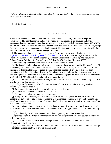Rule 8. Unless otherwise defined in these rules, the terms defined in the code have the same meaning when used in these rules.

R 338.3109 Rescinded.

# PART 2. SCHEDULES

R 338.3111 Schedules; federal controlled substance schedules adopt by reference; exceptions. Rule 11. (1) The board approves and adopts by reference the complete list of drugs and other substances that are considered controlled substances under the Controlled Substance Act (CSA) of 1970, 21 USC 801, that have been divided into 5 schedules as published in 21 CFR 1308.11 to 1308.15, except for those drugs or other substances specifically excepted by this state's laws enacted after the effective date of these rules or as listed in subrule (3) of this rule.

 (2) The standards adopted by reference in subrule (1) of this rule are available at no cost at [https://www.deadiversion.usdoj.gov/21cfr/cfr/2108cfrt.htm,](https://www.deadiversion.usdoj.gov/21cfr/cfr/2108cfrt.htm) or at 10 cents per page from the Board of Pharmacy, Bureau of Professional Licensing, Michigan Department of Licensing and Regulatory Affairs, Ottawa Building, 611 West Ottawa, P.O. Box 30670, Lansing, Michigan 48909.

(3) The following drugs and other substances are scheduled as follows:

 (a) Marijuana including pharmaceutical-grade cannabis, as those terms are defined in parts 71 and 81 of the code, MCL 333.7101 to 333.7125 and MCL 333.8101 to 333.8119, is a schedule 2 controlled substance if it is manufactured, obtained, stored, dispensed, possessed, grown, or disposed of in compliance with the code and as allowed by federal authority but only for the purpose of treating a debilitating medical condition as that term is defined in section 3(b) of the Michigan medical marihuana act, 2008 IL 1, MCL 333.26423, and as allowed under the code.

 (b) Tianeptine sodium by whatever official, common, usual, chemical, or brand name designated is a schedule 2 controlled substance.

 (c) Gabapentin by whatever official, common, usual, chemical, or brand name designated is a schedule 5 controlled substance.

(d) Loperamide is not a scheduled controlled substance in this state.

(e) Pentazocine is a schedule 4 controlled substance.

(f) Brorphine is a schedule 1 controlled substance.

 (g) Except in subdivision (h) of this subrule, ephedrine, a salt of ephedrine, an optical isomer of ephedrine, a salt of an optical isomer of ephedrine, or a compound, mixture, or preparation containing ephedrine, a salt of ephedrine, an optical isomer of ephedrine, or a salt of an optical isomer of ephedrine is included in schedule 5.

 (h) A product containing ephedrine, a salt of ephedrine, an optical isomer of ephedrine, or a salt of an optical isomer of ephedrine is not included in schedule 5 if the drug product meets all of the following criteria:

(i) May lawfully be sold over the counter without a prescription under federal law.

 (ii) Is labeled and marketed in a manner consistent with the pertinent over-the- counter tentative final or final monograph.

 (iii) Is manufactured and distributed for legitimate medical use in a manner that reduces or eliminates the likelihood for abuse.

 (iv) Is not marketed, advertised, or labeled for an indication of stimulation, mental alertness, energy, weight loss, appetite control, or muscle enhancement.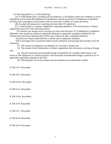(v) The drug product is 1 of the following:

 (A) A solid dosage form, including, but not limited to, a soft gelatin caplet that combines as active ingredients not less than 400 milligrams of guaifenesin and not more than 25 milligrams of ephedrine per dose and is packaged in blister packs with not more than 2 tablets or caplets per blister.

(B) An anorectal preparation containing not more than 5% ephedrine.

 (C) A food product or a dietary supplement containing ephedrine, if the food product or dietary supplement meets all of the following criteria:

 (I) Contains, per dosage unit or serving, not more than the lesser of 25 milligrams of ephedrine alkaloids or the maximum amount of ephedrine alkaloids in applicable regulations adopted by the Federal Food and Drug Administration (FDA) and contains no other controlled substance.

(II) Does not contain hydrochloride or sulfate salts of ephedrine alkaloids.

 (III) Is packaged with a prominent label securely affixed to each package that includes all of the following:

(1) The amount in milligrams of ephedrine in a serving or dosage unit.

 (2) The amount of the food product or dietary supplement that constitutes a serving or dosage unit.

 (3) That the maximum recommended dosage of ephedrine for a healthy adult human is the lesser of 100 milligrams in a 24-hour period or the maximum recommended dosage or period of use in applicable regulations adopted by the FDA.

(4) That improper use of the product may be hazardous to an individual's health.

R 338.3112 Rescinded.

R 338.3113 Rescinded.

R 338.3113a Rescinded.

R 338.3114 Rescinded.

R 338.3114a Rescinded.

R 338.3116 Rescinded.

R 338.3117 Rescinded.

R 338.3118 Rescinded.

R 338.3119 Rescinded.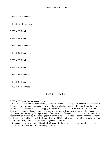R 338.3119a Rescinded.

R 338.3119b Rescinded.

R 338.3120 Rescinded.

R 338.3121 Rescinded.

R 338.3121a Rescinded.

R 338.3122 Rescinded.

R 338.3123 Rescinded.

R 338.3125 Rescinded.

R 338.3126 Rescinded.

R 338.3127 Rescinded.

R 338.3129 Rescinded.

#### PART 3. LICENSES

R 338.3132 Controlled substance license.

 Rule 32. (1) A person who manufactures, distributes, prescribes, or dispenses a controlled substance in this state or who proposes to engage in the manufacture, distribution, prescribing, or dispensing of a controlled substance in this state shall apply for a controlled substance license by submitting to the department a completed application on a form provided by the department along with the requisite fee.

 (2) In addition to meeting the requirements of section 7303 of the code, MCL 333.7303, an applicant's license shall be verified by the licensing agency of any state of the United States in which the applicant holds or has ever held a controlled substance license. This includes, but is not limited to, showing proof of any disciplinary action taken or pending against the applicant.

 (3) Except as otherwise provided in subrules (8) and (9) of this rule, a separate controlled substance license is required in each of the following circumstances: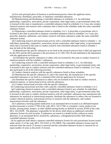(a) For each principal place of business or professional practice where the applicant stores, manufactures, distributes, prescribes, or dispenses controlled substances.

 (b) Manufacturing and distributing a controlled substance in schedules 2-5. An individual, partnership, cooperative, association, private corporation, other legal entity, or governmental entity that is licensed in this state to manufacture a controlled substance listed in schedules 2 to 5 may also conduct chemical analysis and research with a substance that is listed in the schedules under the same controlled substance license.

 (c) Dispensing a controlled substance listed in schedules 2 to 5. A prescriber or practitioner who is licensed in this state to prescribe or dispense controlled substances listed in schedules 2 to 5 may also prescribe, dispense, administer, and conduct research with those substances under the same controlled substance license.

 (d) Conducting research and instructional activity with a controlled substance listed in schedule 1. An individual, partnership, cooperative, association, private corporation, other legal entity, or governmental entity that is licensed in this state to conduct research with controlled substances listed in schedule 1 may do both of the following:

 (i) Manufacture the specific substances as set forth in the research protocol that is filed and approved by the FDA and the DEA pursuant to the provisions of 21 CFR 1301.18 and submitted to the department with the application for licensure.

 (ii) Distribute the specific substances to others who are licensed by this state to conduct research or chemical analysis with the schedule 1 substances.

 (e) Conducting research with a controlled substance listed in schedules 2 to 5. An individual, partnership, cooperative, association, private corporation, other legal entity, or governmental entity who is licensed in this state to conduct research with the controlled substances listed in schedules 2 to 5 may also participate in all of the following activities:

(i) Conduct chemical analysis with the specific substances listed in those schedules.

 (ii) Manufacture the specific substances if, and to the extent that, the manufacture of the specific controlled substances is set forth in a statement filed with the application for licensure.

 (iii) Distribute the specific substances to others who are licensed in this state to conduct research, chemical analysis, or instructional activity with the substances.

(iv) Conduct instructional activities with the specific substances.

(f) Conducting instructional activities with a specific controlled substance listed in schedules 2 to 5.

 (g) Conducting chemical analysis with a controlled substance listed in any schedule An individual, partnership, cooperative, association, private corporation, other legal entity, or governmental entity that is licensed in this state to conduct chemical analysis with all controlled substances may manufacture the substances for analytical or instructional purposes, distribute the substances to others who are licensed to conduct chemical analysis, instructional activity or research with the substances, and conduct instructional activities with the substances.

 (h) A pharmacy stocking patient medication in an automated device located at an affiliated hospital location pursuant to section 17760 of the code, MCL 333.17760, or a hospital, county medical care facility, nursing home, hospice, or other skilled nursing facility as defined in section 20109 of the code, MCL 333.20109. The pharmacy responsible for the device shall obtain an additional controlled substance license for each location. If substances are stored at a health facility without an onsite pharmacy or an automated device stocked by a pharmacy, a designated prescriber shall obtain a controlled substance license.

 (4) An applicant shall obtain a separate controlled substance license for each practitioner license issued under article 15 of the code, MCL 333.16101 to 333.18838. The controlled substance license must be renewed when the article 15 license is renewed and the controlled substance license is renewed for an equal number of years as the article 15 license.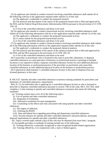(5) An applicant who intends to conduct research involving controlled substances shall submit all of the following with his or her application required under subrule (1) of this rule:

(a) The applicant's credentials to conduct the proposed research.

 (b) The protocol and description of the nature of the proposed research that is filed and approved by the FDA and the Federal Drug Enforcement Administration (DEA) pursuant to the provisions of 21 CFR 1301.18.

(c) A list of the controlled substances and doses to be used.

 (6) An applicant who intends to conduct instructional activity involving controlled substances shall submit all of the following information with his or her application required under subrule (1) of this rule:

(a) The applicant's credentials to conduct the proposed instructional activity.

(b) A course outline for the proposed instructional activity.

(c) A list of the controlled substances and doses to be used.

 (7) An applicant who intends to conduct chemical analysis involving controlled substances shall submit all of the following information with his or her application required under subrule (1) of this rule:

(a) The applicant's credentials to conduct the proposed chemical analysis.

 (b) The protocol and description of the nature of the chemical analysis that is filed and approved by the FDA and the DEA pursuant to the provisions of 21 CFR 1301.18.

(c) A list of the controlled substances and doses to be used.

 (8) A prescriber or practitioner who is licensed in this state to prescribe, administer, or dispense controlled substances at a principal place of business or professional practice consisting of multiple locations is not required to obtain a separate controlled substance license for each additional physical location of the business or professional practice if the prescriber or practitioner only prescribes controlled substances at each additional physical location of the business or professional practice.

 (9) A pharmacist shall maintain 1 controlled substance license in this state to dispense from any licensed pharmacy in this state.

R 338.3135 Opioids and other controlled substances awareness training standards for prescribers and dispensers of controlled substances; requirements.

 Rule 35. (1) An individual who is applying for a controlled substance license or who is licensed to prescribe or dispense controlled substances pursuant to section 7303 of the code, MCL 333.7303, shall complete a 1-time training in opioids and controlled substances awareness that meets the following standards:

(a) Training content must cover all of the following topics:

(i) Use of opioids and other controlled substances.

(ii) Integration of treatments.

(iii) Alternative treatments for pain management.

 (iv) Counseling on the effects and risks associated with using opioids and other controlled substances.

(v) The stigma of addiction.

(vi) Utilizing the MAPS.

(vii) State and federal laws regarding prescribing and dispensing controlled substances.

 (viii) Security features for opioids and other controlled substances and prescriptions, and proper disposal requirements for opioids and other controlled substances.

(b) Topics covered under subrule (1)(a) of this rule may be obtained from more than 1 program.

(c) Acceptable providers or methods of training include any of the following:

(i) Training offered by a nationally recognized or state-recognized health-related organization.

(ii) Training offered by, or in conjunction with, a state or federal agency.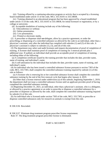(iii) Training offered by a continuing education program or activity that is accepted by a licensing board established under article 15 of the code, MCL 333.16101 to 333.18838.

 (iv) Training obtained in an educational program that has been approved by a board established under article 15 of the code, MCL 333.16101 to 333.18838, for initial licensure or registration, or by a college or university.

(d) Acceptable modalities of training include any of the following:

- (i) Teleconference or webinar.
- (ii) Online presentation.
- (iii) Live presentation.
- (iv) Printed or electronic media.

 (2) A prescriber or dispenser shall not delegate, allow by a practice agreement, or order the prescribing, or dispensing of a controlled substance as allowed by the code to an individual, other than a physician's assistant, only after the individual has complied with subrules (1) and (5) of this rule. A physician's assistant is subject to subrules (1), (3), and (4) of this rule.

 (3) The department may select and audit licensees and request documentation of proof of completion of training. A licensee shall maintain proof of completion of training for 3 renewal periods plus 1 additional year. If audited, an individual shall provide an acceptable proof of completion of training, including either of the following:

 (a) A completion certificate issued by the training provider that includes the date, provider name, name of training, and individual's name.

 (b) A self-attestation by the individual that includes the date, provider name, name of training, and individual's name.

 (4) An individual who has been issued a controlled substance license pursuant to section 7303 of the code, MCL 333.7303, shall complete the controlled substance training required by subrule (1) of this rule as follows:

 (a) A licensee who is renewing his or her controlled substance license shall complete the controlled substance training by the end of the first renewal cycle that begins after January 4, 2019.

 (b) Other than a license renewal under subdivision (a) of this subrule, beginning September 1, 2019, the department shall not issue a controlled substance license until an applicant provides proof of having completed the controlled substance training.

 (5) Beginning December 31, 2021, an individual, other than a physician's assistant, who is a delegatee, or allowed by a practice agreement or an order to prescribe or dispense a controlled substance by a prescriber or dispenser as allowed by the code, shall complete the controlled substance training required by subrule (1) of this rule.

 (6) An individual who is licensed under section 7303 of the code, MCL 333.7303, to prescribe or dispense controlled substances only for research on animals is exempt from this rule.

R 338.3136 Rescinded.

R 338.3137 Eliminate drug treatment program prescriber license requirement.

Rule 37. The drug treatment program prescriber license is eliminated.

# PART 4. SECURITY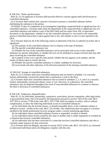R 338.3141 Thefts and diversions.

 Rule 41. (1) An applicant or licensee shall provide effective controls against theft and diversion of controlled substances.

 (2) A licensee shall confirm that a person is licensed to possess a controlled substance before distributing the substance to the person.

 (3) Within 15 days of completion of an investigation regarding a suspected theft or significant loss of a controlled substance, a licensee shall notify the department of the suspected theft or significant loss of a controlled substance and submit a copy of the DEA theft and loss report form 106, or equivalent document, to the department, whether or not the controlled substance is recovered or the responsible person is identified and action is taken against him or her, and whether or not it is also reported to the DEA.

 (4) A licensee shall use all of the following criteria to determine if the loss in subrule (3) of this rule is significant:

(a) The quantity of the controlled substance lost in relation to the type of business.

(b) The specific controlled substance lost.

 (c) Whether the loss of the controlled substance can be associated with access to the controlled substance by specific individuals, or whether the loss can be attributed to unique activities that may take place involving the controlled substance.

 (d) A pattern of loss over a specific time period, whether the loss appears to be random, and the results of efforts taken to resolve the loss.

(e) Whether the specific controlled substance is a likely candidate for diversion.

(f) Local trends and other indicators of the diversion potential of the missing controlled substance.

#### R 338.3143 Storage of controlled substances.

 Rule 43. (1) A licensee shall store controlled substances that are listed in schedule 1 in a securely locked, substantially constructed cabinet that is anchored to a wall or the floor.

 (2) A licensee shall store controlled substances that are listed in schedules 2, 3, 4, and 5 in a securely locked, substantially constructed cabinet, room, or cart. However, in a pharmacy, the controlled substances may be dispersed throughout the stock of noncontrolled substances in a manner to obstruct the theft or diversion of controlled substances.

R 338.3145 Employees; disqualification.

 Rule 45. (1) An individual, partnership, cooperative, association, private corporation, other legal entity, or governmental entity who is licensed by the department pursuant to section 7303 of the code, MCL 333.7303 or section 17748 of the code, MCL 333.17748, shall not employ or utilize, with or without compensation, or allow the following individuals access to controlled substances:

 (a) An individual who the licensee knows, or should reasonably know, to be a substance abuser as defined in section 16106a of the code, MCL 333.16106a. This subdivision does not apply to a licensee enrolled in the health professional recovery program under a current monitoring agreement.

(b) An individual whose controlled substance license is suspended, revoked, or denied.

 (c) An individual whose license issued by this state or another state is under suspension or revoked for a violation that involves controlled substances.

 (d) An individual who has been convicted of a crime that involves controlled substances and who is currently under sentence for that conviction.

 (2) A licensee shall not delegate, pursuant to section 16215 of the code, MCL 333.16215, to a licensed or unlicensed individual unless the delegation complies with this rule.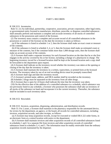#### PART 5. RECORDS

R 338.3151 Inventories.

 Rule 51. (1) An individual, partnership, cooperative, association, private corporation, other legal entity, or governmental entity licensed to manufacture, distribute, prescribe, or dispense controlled substances shall annually perform and maintain a complete and accurate inventory of all stocks of controlled substances in the possession and control of the licensee.

 (2) The inventory must contain a complete and accurate record of all controlled substances in the possession or control of the licensee on the date the inventory is taken as follows:

 (a) If the substance is listed in schedule 1 or 2, then the licensee shall make an exact count or measure of the contents.

 (b) If the substance is listed in schedule 3, 4, or 5, then the licensee shall make an estimated count or measure of the contents, but if the container holds more than 1,000 dosage units, then the licensee shall make an accurate account of the contents.

 (3) A licensee shall make a separate inventory for each licensed location on the date that he or she first engages in the activity covered by his or her license, including a change of a pharmacist in charge. The beginning inventory record for a licensed location shall be kept at the licensed location and a copy shall be forwarded to the department upon request.

 (4) A licensee shall indicate on the inventory record whether the inventory was taken at the opening or closing of the day that the inventory is taken.

 (5) A licensee shall maintain the inventory in a written, typewritten, or printed form at the licensed location. The inventory taken by use of an oral recording device must be promptly transcribed.

(6) A licensee shall sign and date the inventory record.

(7) A licensee's printed name, address, and DEA number shall be recorded on the inventory.

(8) Schedule 2 drugs must be separated on the inventory from all other drugs.

(9) A licensee that is open for 24 hours shall indicate the time that the inventory was taken.

 (10) On the effective date of the addition of a controlled substance to a schedule, which substance was not previously listed in any schedule, a licensee who possesses the substance shall take an inventory of all stocks of the substance on hand and incorporate it in the current inventory. Thereafter, the substance shall be included in each inventory taken.

R 338.3152 Rescinded.

R 338.3153 Invoices, acquisition, dispensing, administration, and distribution records.

 Rule 53. For 2 years, a licensee shall maintain in the pharmacy responsible for the automated device, for review by the department, an agency, or the board, all records for controlled substances, including invoices, acquisition records, and sales receipts, as follows:

(a) A licensee may keep acquisition records, except for executed or voided DEA 222 order forms, in an electronic form at a central location with notice to the department.

 (b) A licensee shall maintain invoices and other acquisition records of all controlled substances listed in schedules 1 and 2 in a separate file from invoices and other acquisition records of controlled substances listed in schedules 3, 4, and 5. The information must be readily retrievable from the ordinary acquisition records maintained by the dispenser.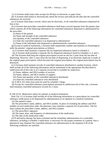(c) A licensee shall retain sales receipts for 90 days in electronic or paper form.

 (d) A licensee shall initial or electronically initial the invoice and indicate the date that the controlled substances are received.

 (e) A licensee shall keep a record, which may be electronic, of all controlled substances dispensed by him or her.

 (f) A licensee that prescribes controlled substances shall keep a record separate from the patient chart which contains all of the following information for controlled substances dispensed or administered by the prescriber:

(i) Name of the patient.

(ii) Name and strength of the controlled substance.

(iii) Quantity of the controlled substance.

(iv) Date the controlled substance was dispensed or administered.

(v) Name of the individual who dispensed or administered the controlled substance.

 (g) Except in medical institutions, a licensee shall sequentially number and maintain in chronological order the patients' original prescriptions as follows:

(i) A licensee shall maintain a separate file for dispensed substances listed in schedule 2.

(ii) A licensee shall maintain a separate file for dispensed substances listed in schedules 3, 4, and 5.

 (h) The licensee shall keep the original prescription record on site for 5 years from the last date of dispensing. However, after 2 years from the last date of dispensing, if an electronic duplicate is made of the original paper prescription, which becomes the original prescription, the original prescription may be destroyed.

 (i) A licensee shall maintain records of controlled substances distributed to another licensee, which shall include all of the following information and be maintained in the appropriate file described in subdivision (b) of this rule or in a separate record that is available for inspection:

(i) Name, address, and DEA number of receiver.

(ii) Name, address, and DEA number of supplier.

(iii) Name and quantity of the controlled substances distributed.

(iv) Date the controlled substances were distributed.

(j) A DEA 222 order form must be used for schedule 2 drugs.

 (k) Except for controlled substance prescriptions pursuant to subdivision (h) of this rule, a licensee shall maintain controlled substances records for 2 years.

R 338.3153a Medication orders for patients in medical institutions.

Rule 53a. (1) A licensee shall include all of the following information in a prescription for controlled substance medications to be dispensed for administration to an inpatient in a medical institution:

(a) The patient's name.

 (b) The prescriber's name, address, and DEA number. In place of including the address and DEA number on each medication order, the pharmacy may maintain a separate list of prescribers. The list must contain the prescriber's name, address, and DEA number.

(c) The prescriber's signature.

(d) The name, dose, and frequency of administration of the medication.

(e) The date of the medication order.

(2) If alternative therapy has been evaluated and the immediate administration of a controlled substance, including a schedule 2 medication, is necessary for the proper treatment of a patient, then a pharmacist may dispense the controlled substance for administration to the inpatient if all of the following conditions are satisfied: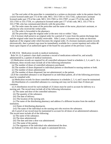(a) The oral order of the prescriber is committed to a written or electronic order in the patient chart by a nurse licensed under part 172 of the code, MCL 333.17201 to 333.17242, a physician's assistant licensed under part 170 of the code, MCL 333.17001 to 333.17097, or part 175 of the code, MCL 333.17501 to 333.17556, or a pharmacist licensed under part 177 of the code, MCL 333.17701 to 333.17780, who has communicated directly with the prescriber.

(b) The order states the name of the prescriber and the name of the nurse, physician's assistant, or pharmacist who received the verbal order.

(c) The order is forwarded to the pharmacy.

(d) The prescriber signs the original order at the next visit or within 7 days.

(3) A licensee shall preserve an original order for a period of 5 years from the patient discharge date and the original order must be readily retrievable. After 2 years, a licensee may make an electronic duplicate of the original order which becomes the original order. If a licensee maintains patient records electronically, then a printed copy must be immediately available for a current inpatient and within 48 hours upon request of an authorized agent of the board for any patient of the previous 5 years.

R 338.3154 Medication records in medical institutions.

 Rule 54. (1) A patient's chart shall constitute a record of medications ordered for, and actually administered to, a patient of medical institutions.

 (2) Medication records are required for all controlled substances listed in schedules 2, 3, 4, and 5. At a minimum, these records must include all of the following information:

(a) The number of doses of controlled substances purchased.

(b) The number of doses dispensed to individual patients or distributed to nursing stations or both.

(c) The number of doses administered.

(d) The number of doses dispensed, but not administered, to the patient.

 (3) If the controlled substance is not dispensed to an individual patient, all of the following provisions must be complied with:

(a) Medication records for those controlled substances in schedules 2, 3, 4, and 5 must be maintained.

 (b) Distribution of a controlled substance to a nursing unit may not be more than 25 doses per container.

 (c) A distribution record for each multiple of 25 doses must be used to account for delivery to a nursing unit. The record must include all of the following information:

(i) The name and dose of the controlled substance.

(ii) The quantity of the substance.

(iii) The date of delivery.

(iv) The location of the nursing unit.

 (v) The name of the distributing pharmacy and address if a different location from the medical institution.

(vi) Name of distributing pharmacist.

(vii) The name of the individual on the nursing unit who receives the substance.

 (d) A proof of use record must be maintained to account for all doses of an administered substance. The record must include all of the following:

(i) The name of the substance.

(ii) The dose administered.

(iii) The date and time a dose was administered.

(iv) The name of the patient.

(v) The signature of the individual who administered the dose.

(e) Subrule 3 of this rule does not apply to automated devices.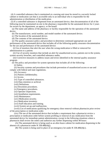(4) A controlled substance that is maintained at a nursing unit must be stored in a securely locked cabinet or medication cart that is accessible only to an individual who is responsible for the administration or distribution of the medication.

 (5) If a controlled substance is dispensed from an automated device, then documentation of all of the following must be maintained on-site in the pharmacy responsible for the automated device for 2 years for review by the department, an agency, or the board:

 (a) The name and address of the pharmacy or facility responsible for the operation of the automated device.

(b) The manufacturer, serial number, and model number of the automated device.

(c) The location of the automated device.

(d) The contents of the automated device.

 (e) The quality assurance policy and procedure to determine continued appropriate use and performance of the automated device that includes all of the following quality assurance documentation for the use and performance of the automated device:

 (i) Use of monitors that alert the user when the wrong medication is filled or removed for administration to a patient.

 (ii) Use of security monitors that include an alert for unauthorized access, patients not in the system, system security breaches, and controlled substance audits.

 (iii) Corrective measures to address issues and errors identified in the internal quality assurance program.

(f) The policy and procedure for system operation that includes all of the following:

(i) Safety.

 (ii) Security systems and procedures that include prevention of unauthorized access or use and comply with federal and state regulations.

(iii) Accuracy.

(iv) Patient confidentiality.

(v) Access.

(vi) Type of controlled substances.

(vii) Data retention or archival.

(viii) Definitions.

(ix) Downtime procedures.

(x) Emergency procedures.

(xi) Operator inspections.

(xii) Installation requirements.

(xiii) Maintenance.

(xiv) Medication security.

(xv) Medication inventory.

(xvi) Staff education and training.

(xvii) System set-up and malfunction.

 (xviii) List of medications qualifying for emergency dose removal without pharmacist prior review of the prescription or medication order.

 (xix) The use of the automated device that includes a requirement that a pharmacist review a prescription or medication order before system profiling or removal of any medication from the automated device for immediate patient administration, except in the following situations where a pharmacist shall review the orders and authorize any further dispensing within 48 hours:

 (A) The automated device is being used as an after-hours cabinet for medication dispensing in the absence of a pharmacist under R 338.486(4)(j).

(B) The system is being used in place of an emergency kit under R 338.486(4)(c).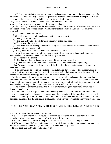(C) The system is being accessed to remove medication required to treat the emergent needs of a patient under R 338.486(4)(c). A sufficient quantity to meet the emergent needs of the patient may be removed until a pharmacist is available to review the medication order.

 (g) The automated device must maintain transaction data that includes all activity regarding access to the contents of the automated device.

 (h) The pharmacy responsible for the automated device shall maintain records related to access to the automated device. The records must be readily retrievable and must include all of the following information:

(i) The unique identity of the device.

(ii) Identification of the individual accessing the automated device.

(iii) The type of transaction.

(iv) The name, strength, dosage form**,** and quantity of the drug accessed.

(v) The name of the patient.

 (vi) The identification of the pharmacist checking for the accuracy of the medications to be stocked or restocked in the automated device.

(vii) Any other information the pharmacist considers necessary.

 (i) For medication removed from the automated device for on-site patient administration, the automated device must document all of the following information:

(i) The name of the patient.

(ii) The date and time medication was removed from the automated device.

(iii) The name, initials, or other unique identifier of the individual removing the drug.

 (iv) The name, strength, and dosage form of the drug. The documentation may be on paper or electronic medium.

 (j) If the pharmacist delegates the stocking of the automated device, then technologies must be in place and utilized to ensure that the correct drugs are stocked in their appropriate assignment utilizing bar-coding or another a board-approved error prevention technology.

 (k) The automated device must provide a mechanism for securing and accounting for controlled substances removed from the automated device return bin. Controlled substances may not be returned directly to the automated device for immediate reissue or reuse. Controlled substances removed from the automated device may not be reused or reissued, except as indicated in R 338.486(7).

 (l) The automated device must provide a mechanism for securing and accounting for wasted or discarded medications.

 (6) An individual who is responsible for administering a controlled substance or a portion thereof shall record the quantity, disposition and an explanation of the destruction of the controlled substance on the proper accountability record. If the institution has a policy that reflects current practice standards and delineates the method of destruction, an explanation would only be required if policy was not followed.

# PART 6. DISPENSING AND ADMINISTERING CONTROLLED SUBSTANCE PRESCRIPTIONS

R 338.3161 Controlled substance prescriptions.

 Rule 61. (1) A prescription that is issued for a controlled substance must be dated and signed by the prescriber, when issued, and contain all of the following information:

(a) The full name and address of the patient for whom the substance is being prescribed.

(b) The prescriber's DEA registration number, preprinted, stamped, typed, or manually printed name, address, telephone number or pager number, and professional designation.

(c) The drug name, strength, and dosage form.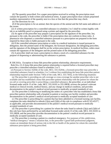(d) The quantity prescribed. For a paper prescription received in writing, the prescription must contain the quantity in both written and numerical terms. A paper prescription must contain preprinted numbers representative of the quantity next to a box or line that the prescriber may check.

(e) The directions for use.

(f) If the prescription is for an animal, then the species of the animal and the full name and address of the owner.

(2) A written prescription for a controlled substance in schedules 2 to 5 shall be written legibly with ink or an indelible pencil or prepared using a printer and signed by the prescriber.

(3) An agent of the prescriber may prepare a prescription for the signature of the prescriber, but, pursuant to the code, the prescriber is liable if the prescription does not conform to these rules. A pharmacist who dispenses a controlled substance pursuant to a prescription not prepared in the form required by these rules is liable pursuant to the code.

(4) If the controlled substance prescription or order in a medical institution is issued pursuant to delegation, then the printed name of the delegatee, the licensure designation, the delegating prescriber, and the signature of the delegatee shall be on the written prescription. In medical facilities, orders must contain the signatures of the delegatee and the printed name of the delegating prescriber.

(5) A prescriber shall not issue a prescription to obtain a stock of a controlled substance for the purpose of dispensing or administering the substance to patients.

R 338.3161a. Exception to bona fide prescriber-patient relationship; alternative requirements. Rule 61a. (1) A bona fide prescriber-patient relationship is required before a licensed prescriber may prescribe a controlled substance listed in schedules 2 to 5.

 (2) Pursuant to Section 16204e of the code, MCL 333.16204e, a licensed prescriber may prescribe a controlled substance listed in schedules 2 to 5 without first establishing the bona fide prescriber-patient relationship required under Section 7303a of the code, MCL 333.7303a, in the following situations:

 (a) The prescriber is providing on-call coverage or cross-coverage for another prescriber who is not available and has established a bona fide prescriber-patient relationship with the patient for whom the on-call or covering prescriber is prescribing a controlled substance, the prescriber, or an individual licensed under article 15 of the code, MCL 333.16101 to 333.18838, reviews the patient's relevant medical or clinical records, medical history, and any change in medical condition, and provides documentation in the patient's medical record pursuant to medically accepted standards of care.

 (b) The prescriber is following or modifying the orders of a prescriber who has established a bona fide prescriber-patient relationship with a hospital in-patient or nursing care facility resident and provides documentation in the patient's medical record pursuant to medically accepted standards of care.

 (c) The prescriber is prescribing for a patient that has been admitted to a licensed nursing care facility, completes the tasks identified in subrule  $(2)(a)$  and  $(2)(b)$  of this rule in compliance with R 325.45377, as applicable, and provides documentation in the patient's medical record pursuant to medically accepted standards of care.

 (d) The prescriber is prescribing for a patient for whom the tasks listed in subrule (2)(a) and (2)(b) of this rule have been performed by an individual licensed under article 15 of the code, MCL 333.16101 to 333.18838, and the prescriber provides documentation in the patient's medical record pursuant to medically accepted standards of care.

 (e) The prescriber is treating a patient in a medical emergency. For purposes of this subdivision, "medical emergency" means a situation that, in the prescriber's good-faith professional judgment, creates an immediate threat of serious risk to the life or health of the patient for whom the controlled substance prescription is being prescribed.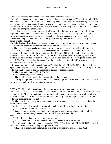R 338.3162 Dispensing by pharmacists; delivery of controlled substances.

 Rule 62. (1) Except for a remote pharmacy, which is regulated by section 17742a of the code, MCL 333.17742a, and which allows a qualified pharmacy technician to assist in the dispensing process while being overseen by a pharmacist through the use of a surveillance system and telepharmacy system, a controlled substance shall be dispensed by a pharmacist or a pharmacy intern in the presence, and under the personal charge of a pharmacist.

 (2) A pharmacist shall require positive identification of individuals to whom controlled substances are dispensed or delivered when the individual is not known to the pharmacist or pharmacy employees except when positive identification is not available and a pharmacist, who in exercising his or her professional judgment, determines that a delay in dispensing the controlled substance may be detrimental to a patient.

 (3) Subrule (2) of this rule does not exempt a pharmacist from the requirement to submit a patient identifier to the electronic system for monitoring controlled substances.

(4) The dispensing pharmacist and pharmacy are both responsible for complying with this rule.

 (5) A pharmacist may dispense a controlled substance that is listed in schedules 3 to 5 and that is a prescription drug pursuant to the provisions of the FDCA of 1991, 21 USC 353, only pursuant to a prescription on a prescription form, an oral prescription of a practitioner, or a prescription that is electronically transmitted pursuant to R 338.3162a and that contains all of the required information under R 338.3161, except that the signature of the prescriber is not required if the controlled substance is obtained pursuant to an oral order.

 (6) In addition to the requirements in section 17744 of the code, MCL 333.17744, if a prescriber's agent under delegation transmits an oral prescription for a controlled substance to a pharmacy all of the following shall be recorded on the prescription generated at the pharmacy:

(a) The information required by R 338.3161.

(b) The transmitting agent's identity.

(c) The individual who received the prescription at the pharmacy.

 (7) Only a prescription that is issued in the usual course of professional treatment or in the course of legitimate and authorized research is a prescription.

R 338.3162a Electronic transmission of prescription; waiver of electronic transmission.

 Rule 62a. (1) Until the enforcement date established by the federal Centers for Medicare and Medicaid Services for the Medicare electronic transmission requirement, a prescription may be electronically transmitted, and a pharmacist may dispense the electronically transmitted prescription if all of the following conditions are satisfied:

 (a) The prescription is transmitted to the pharmacy of the patient's choice and occurs only at the option of the patient.

(b) The electronically transmitted prescription includes all of the following information:

(i) The name and address of the prescriber.

(ii) An electronic signature or other board-approved means of ensuring prescription validity.

(iii) The prescriber's telephone number for verbal confirmation of the

# order.

(iv) The time and date of the electronic transmission.

(v) The name of the pharmacy intended to receive the electronic transmission.

 (vi) Unless otherwise authorized under section 17754(1)(b) of the code, MCL 333.17754, the full name of the patient for whom the prescription is issued.

(vii) All other information that must be contained in a prescription under R 338.3161.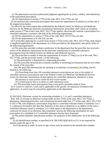(c) The pharmacist exercises professional judgment regarding the accuracy, validity, and authenticity of the transmitted prescription.

(d) All requirements in section 17754 of the code, MCL 333.17754, are met.

 (2) An electronically transmitted prescription that meets the requirements of subrule (1) of this rule is the original prescription.

 (3) Effective the enforcement date established by the federal Centers for Medicare and Medicaid Services for the Medicare electronic transmission requirement, prescribers shall, unless an exception under section 17754a of the Code, MCL 333.17754a, applies, electronically transmit a prescription for a controlled substance consistent with both of the following requirements:

(a) All the requirements in section 17754a of the code, MCL 333.17754a, are met.

(b) All the requirements in R 338.3161 are met.

 (4) A prescriber applying for a waiver from section 17754a of the code, MCL 333.17754a, shall submit a completed application to the department, on a form provided by the department, and satisfy either of the following requirements:

 (a) The prescriber provides evidence satisfactory to the department that the prescriber has received a waiver of the Medicare requirement for the electronic transmission of controlled substances prescriptions from the federal Centers for Medicare and Medicaid Services.

(b) The prescriber is unable to meet the requirements of section  $17754a(1)$  or (2) of the code, MCL 333.17754a, and the prescriber meets 1 of the following:

(i) The prescription is dispensed by a dispensing prescriber.

 (ii) The prescriber demonstrates economic hardship or technological limitations that are not within the control of the prescriber.

 (iii) The prescriber demonstrates by attesting to exceptional circumstances, including, but not limited to, the following:

 (A) Prescribing fewer than 100 controlled substances prescriptions per year or the number of controlled substances prescriptions used in the Federal Centers for Medicare and Medicaid Services waiver for electronic transmission of prescriptions for controlled substances, whichever is more.

(B) Intention to cease practice within the next twelve months.

(C) Limited practice due to an illness or other unforeseen event.

(iv) The prescriber issues prescriptions from a non-profit charitable medical clinic.

 (5) A waiver is valid for 2 years and is applicable to the specific circumstances included in the application. A waiver may be renewed by application to the department.

R 338.3162b Electronic system for monitoring schedules 2, 3, 4, and 5 controlled substances.

 Rule 62b. (1) Except as otherwise exempt under section 7333a of the code, MCL 333.7333a, a pharmacist, dispensing prescriber, and veterinarian licensed under Part 177 of the code, MCL 333.17701 to 333.17780, who dispenses a prescription drug that is a controlled substance listed in schedules 2 to 5 or a pharmacy licensed by the state that dispenses in this state or dispenses to an address in this state a controlled substance listed in schedules 2 to 5 shall report to the department or the department's contractor by means of an electronic data transmittal process the following information for each prescription of a scheduled 2 to 5 controlled substance that has been dispensed:

 (a) The patient identifier identification number. For purposes of this subdivision, all of the following apply:

(i) An identification number, as specified in R  $338.3102(1)(f)(iv)(A)$  to (C), is not required for patients under the age of 16.

(ii) If the patient is under 16 years of age, zeroes must be entered as the identification number.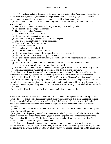(iii) If the medication being dispensed is for an animal, the patient identification number applies to the animal's owner, the client, that meets the requirements of R  $338.3102(1)(f)(iv)$ . If the animal's owner cannot be identified, zeroes must be entered as the identification number.

 (b) The patient's name; client's name, including first name, middle name, or middle initial, if available; and last name.

(c) The patient's or client's address, including street, city, state, and zip code.

(d) The patient's or client's phone number.

(e) The patient's or client's gender.

(f) The patient's or client's date of birth.

(g) The species code, as specified by ASAP.

(h) The metric quantity of the controlled substance dispensed.

(i) The NDC of the controlled substance dispensed.

(j) The date of issue of the prescription.

(k) The date of dispensing.

(l) The number of refills authorized.

(m) The refill number of the prescription fill.

(n) The estimated days of supply of the controlled substance dispensed.

(o) The prescription number assigned by the dispenser.

 (p) The prescription transmission form code, as specified by ASAP, that indicates how the pharmacy received the prescription.

(q) The prescription payment type. Cash discount cards are considered cash transactions.

(r) The electronic prescription reference number, if applicable.

(s) The patient's or client's location code when receiving pharmacy services, as specified by ASAP.

(t) The DEA registration number of the prescriber and the dispensing pharmacy.

 (2) A pharmacist, dispensing prescriber, or veterinarian may presume that the patient identification information provided by a patient, or a patient's representative, or veterinarian's client is correct.

 (3) As used in this rule, R 338.3162c, and R 338.3162d, the term "dispense" or "dispensing" means the preparation, compounding, packaging, or labeling of a controlled substance along with delivery of the controlled substance pursuant to a prescription or other authorization issued by a prescriber, and does not include the acts of prescribing a controlled substance or administering a controlled substance directly to a patient.

(4) As used in this rule, the term "patient" refers to an individual, not an animal.

R 338.3162c Format for electronic transmission of data to electronic system for monitoring; waiver. Rule 62c. (1) A pharmacist, dispensing prescriber, or veterinarian who dispenses a prescription drug that is a controlled substance listed in schedules 2 to 5 shall transmit the data, as specified under R 338.3162b by electronic media or other means as approved by the department or the department's contractor.

 (2) The data must be transmitted in the format established by the ASAP 4.1 Standard for Prescription Drug Monitoring Programs.

 (3) A pharmacist, dispensing prescriber, or veterinarian who dispenses controlled substances and who does not have an automated record-keeping system capable of producing an electronic report in the format established by subrule (2) of this rule may request a waiver from electronic reporting. The request shall be made in writing to the department.

 (4) A pharmacist, dispensing prescriber, or veterinarian may be granted a waiver, if he or she demonstrates an inability to report as required by R 338.3162b and he or she agrees in writing to report the data to the department or the department's contractor by submitting a completed MAPS claim form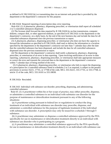as defined in R 338.3102(1)(c) or transmitting data via an internet web portal that is provided by the department or the department's contractor for this purpose.

R 338.3162d Required reporting of prescription data; error reporting.

 Rule 62d. (1) A pharmacist, pharmacy, dispensing prescriber, or veterinarian shall report all scheduled 2 to 5 controlled substances dispensed.

 (2) The licensee shall forward the data required by R 338.3162b by on-line transmission, computer diskette, compact disk, or other approved medium, as specified in R 338.3162c to the department or the department's contractor, on a daily basis, by the end of the next business day and include the data for all controlled substances dispensed since the previous transmission or report.

 (3) A pharmacist, pharmacy, dispensing prescriber, or veterinarian who does not have the capacity to forward the information as specified in R 338.3162b, shall mail or deliver the information to a location specified by the department or the department's contractor not later than 7 calendar days after the date that the controlled substance has been dispensed, and include the data for all controlled substances dispensed since the previous transmission or report.

 (4) The department or the department's contractor shall notify a pharmacist, pharmacy, dispensing prescriber, or veterinarian of an error in data reporting. Upon receiving notification of an error in data reporting, a pharmacist, pharmacy, dispensing prescriber, or veterinarian shall take appropriate measures to correct the error and transmit the corrected data to the department or the department's contractor within 7 calendar days of being notified of the error.

 (5) A pharmacist, pharmacy, dispensing prescriber, or veterinarian who fails to report the dispensing of a prescription for a controlled substance listed in schedules 2 to 5 as required, is subject to the penalty provisions in section 16221, 17741, or 17768 of the code, MCL 333.16221, 333.17741, or 333.17768, in article 15 of the code, MCL 333.16101 to 333.18838.

R 338.3162e Rescinded.

R 338.3163 Individual with substance use disorder; prescribing, dispensing, and administering controlled substance.

 Rule 63. (1) A practitioner within his or her scope of practice, may either prescribe, dispense, or administer a controlled substance to an individual with substance use disorder for the purpose of maintenance or detoxification treatment pursuant to any of the following situations:

 (a) A practitioner acting pursuant to federal law or regulations to conduct the drug treatment of an individual with substance use disorder may prescribe, dispense, and administer a controlled substance for the purpose of legitimate treatment of the individual with substance use disorder. A prescription may only be issued for a schedule 3 through 5 substance.

 (b) A practitioner may administer or dispense a controlled substance approved by the FDA specifically for use in maintenance or detoxification treatment directly to an individual with substance use disorder who is participating in a program.

 (c) A practitioner may administer a controlled substance approved by the FDA specifically for use in maintenance or detoxification treatment directly to an individual with substance use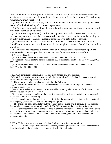disorder who is experiencing acute withdrawal symptoms and administration of a controlled substance is necessary while the practitioner is arranging referral for treatment. The following requirements must be followed:

 (i) Not more than 1 day's supply of medication may be administered or directly dispensed to the individual with drug addiction or dependence.

 (ii) The emergency treatment may be carried out for not more than 3 consecutive days and may not be renewed or extended.

 (2) Notwithstanding subrule (1) of this rule, a practitioner within the scope of his or her practice, may administer or dispense a controlled substance in a hospital or similar setting to an individual with substance use disorder consistent with both of the following:

 (a) The controlled substance is administered or dispensed to continue maintenance or detoxification treatment as an adjunct to medical or surgical treatment of conditions other than addiction.

 (b) The controlled substance is administered or dispensed to relieve intractable pain for which no relief or cure is possible, or none has been found after reasonable efforts.

(3) As use in this rule:

(a) "Practitioner" means the term defined in section 7109 of the code, MCL 333.7109.

 (b) "Program" means the term defined in section 260 of the mental health code, 1974 PA 258, MCL 330.1260.

 (c) "Substance use disorder" means that term as defined in section 100d of the mental health code, 1974 PA 258, MCL 330.1100d.

R 338.3164 Emergency dispensing of schedule 2 substances; oral prescriptions.

 Rule 64. A pharmacist may dispense a controlled substance listed in schedule 2 in an emergency in which all of the following conditions are met:

(a) The prescriber advises the pharmacist of all of the following:

 (i) Immediate administration of the controlled substance is necessary for proper treatment of the intended ultimate user.

 (ii) Appropriate alternative treatment is not available, including administration of a drug that is not a controlled substance under schedule 2.

 (iii) It is not reasonably possible for the prescriber to provide a written prescription to be presented to the dispenser before the dispensing.

 (iv) The quantity prescribed and dispensed is limited to the amount adequate to treat the patient during the emergency period and pursuant to a written prescription.

 (b) The pharmacist shall immediately put the prescription in writing, which contains the information that must be contained in a prescription under R 338.3161, except for the prescriber's signature.

 (c) If the prescriber is not known to the pharmacist, then the pharmacist shall make a reasonable effort to determine that the oral authorization came from a prescriber by returning the prescriber's call, using the telephone number listed in the telephone directory**,** and other good faith efforts to ensure the prescriber's identity.

R 338.3165 Emergency dispensing of schedule 2 substances; written prescriptions.

 Rule 65. (1) Within 7 days after authorizing an emergency oral prescription of a controlled substance listed in schedule 2, the prescriber shall comply with all of the following: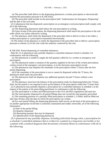(a) The prescriber shall deliver to the dispensing pharmacist a written prescription or electronically transmit the prescription pursuant to R 338.3162a.

 (b) The prescriber shall include on the prescription both "Authorization for Emergency Dispensing" and the date of the oral order.

 (2) A pharmacist that has dispensed a prescription on an emergency oral prescription shall comply with all of the following:

(a) The dispensing pharmacist shall reduce the oral prescription to writing.

 (b) Upon receipt of the prescription, the dispensing pharmacist shall attach the prescription to the oral order which was earlier reduced to writing.

 (c) The pharmacy shall notify the department if the prescriber fails to deliver to him or her either a written prescription or a prescription transmitted electronically.

 (3) The failure of the pharmacy to notify the department if the prescriber fails to deliver a prescription pursuant to subrule (1) of this rule voids the authority conferred by this rule.

R 338.3166 Partial dispensing of controlled substances.

 Rule 66. (1) A pharmacist may partially dispense a controlled substance listed in schedule 2 in conformance with the following:

 (a) The pharmacist is unable to supply the full quantity called for in a written or emergency oral prescription.

 (b) The pharmacist makes a notation of the quantity supplied on the face of the written prescription, written record of the emergency oral prescription, or in the electronic prescription record.

 (c) The pharmacist may dispense the remainder of the prescription within 72 hours after the first partial dispensing.

 (d) If the remainder of the prescription is not or cannot be dispensed within the 72 hours, the pharmacist shall notify the prescriber.

 (e) The pharmacist shall not dispense any additional quantity beyond 72 hours without a new prescription.

 (f) The pharmacy must have the balance of the prescription ready for dispensing before the 72-hour limit, but the patient is not required to pick up the balance of the prescription within that 72-hour limit.

 (2) A pharmacist may partially dispense a prescription for a controlled substance in schedule 2 at the request of the patient or the prescribing practitioner in conformance with the following:

(a) The prescription is written and filled pursuant to the CSA and DEA regulations and state law.

(b) The total quantity dispensed in all partial fillings does not exceed the total quantity prescribed.

 (c) The remaining portions of a partially filled prescription in schedule 2, if filled, shall be filled not later than 30 days after the date on which the prescription was written.

 (d) For each partial filling, the dispensing pharmacist shall record, on the back of the prescription or on another appropriate record that is uniformly maintained and readily retrievable, all of the following information:

(i) Date of the partial filling.

(ii) Quantity dispensed.

(iii) Remaining quantity that may be dispensed.

(iv) Identification of the dispensing pharmacist.

 (3) A pharmacist may partially dispense, including individual dosage units, a prescription for a schedule 2 controlled substance that is written for a patient in a long-term care facility or for a patient with a medical diagnosis that documents a terminal illness in conformance with all of the following: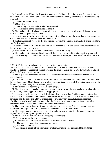(a) For each partial filling, the dispensing pharmacist shall record, on the back of the prescription or on another appropriate record that is uniformly maintained and readily retrievable, all of the following information:

(i) Date of the partial filling.

(ii) Quantity dispensed.

(iii) Remaining quantity authorized to be dispensed.

(iv) Identification of the dispensing pharmacist.

 (b) The total quantity of schedule 2 controlled substances dispensed in all partial fillings may not be more than the total quantity prescribed.

 (c) Prescriptions are valid for a period of not more than 60 days from the issue date unless terminated at an earlier date by the discontinuance of medication.

 (d) A pharmacist shall record on the prescription whether the patient is terminally ill or is a long-term care facility patient.

 (4) A pharmacy may partially fill a prescription for a schedule 3, 4, or 5 controlled substance if all of the following provisions are met:

(a) Each partial filling is recorded in the same manner as a refilling.

(b) The total quantity dispensed in all partial fillings does not exceed the total quantity prescribed.

 (c) No dispensing occurs after 6 months from the date the prescription was issued for schedules 3, 4, and 5.

R 338.3167 Dispensing schedule 5 substances without prescriptions.

 Rule 67. (1) A pharmacist may, without a prescription, dispense a controlled substance listed in schedule 5 that is not a prescription medication as determined under the FDCA, 21 USC 301 to 392, if all of the following provisions are met:

 (a) The dispensing pharmacist determines the controlled substance is intended to be used for a medical purpose.

 (b) Not more than 240 cc, 8 ounces, or 48 solid doses of a substance containing opium or more than 120 cc, 4 ounces, or 24 solid doses of any other substance listed in schedule 5 are distributed at retail to the same purchaser in any single 48-hour period.

(c) The purchaser is not younger than 18 years of age.

 (d) The dispensing pharmacist requires a purchaser, not known to the pharmacist, to furnish suitable identification, including proof of age where appropriate.

 (2) If a pharmacist dispenses a controlled substance listed in schedule 5 without a prescription, then he or she shall affix to the container in which the substance is dispensed a label that shows the date, his or her name, and the name and address of the place of practice where the substance is dispensed.

 (3) The pharmacist shall maintain a record of the dispensing without a prescription of controlled substances listed in schedule 5 with the following requirements:

 (a) The record must be kept for 5 years from the date of dispensing. After 2 years, an electronic duplicate of the original order may be made which becomes the original record.

 (b) The record must be immediately retrievable and may be maintained in the same manner as required for schedule 5 prescription medication.

(c) The record must contain all of the following information:

(i) The name and address of the patient.

(ii) The name and address of the purchaser if different from the patient.

(iii) The name and quantity of substance purchased.

(iv) The date purchased.

(v) The name or initials of the pharmacist or pharmacy intern who dispensed the substance.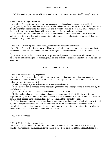(vi) The medical purpose for which the medication is being used as determined by the pharmacist.

R 338.3168 Refilling of prescriptions.

Rule 68. (1) A prescription for a controlled substance listed in schedule 2 may not be refilled.

 (2) A prescription for a controlled substance listed in schedules 3 and 4 may not be refilled more than 6 months after the prescription's date of issuance and may not be refilled more than 5 times. Renewal of the prescription must be consistent with the requirements for original prescriptions.

 (3) A prescription for a controlled substance listed in schedule 5 may be refilled only as expressly authorized by the prescriber on the prescription up to 1 year; if no authorization is indicated, then the prescription may not be refilled.

R 338.3170 Dispensing and administering controlled substances by prescribers.

Rule 70. (1) A prescriber in the course of his or her professional practice may dispense,  $\Theta$  administer, or delegate under direct supervision the administering of a controlled substance listed in schedules 2 to 5.

 (2) A veterinarian, in the course of his or her professional practice may dispense, administer, or delegate the administering under direct supervision of a controlled substance listed in schedules 2 to 5 to an animal.

# PART 7. DISTRIBUTIONS

R 338.3181 Distributions by dispensers.

 Rule 81. (1) A dispenser who is not licensed as a wholesale distributor may distribute a controlled substance to another dispenser for the purpose of general dispensing to his or her patients if all of the following conditions are satisfied:

(a) The receiving dispenser is licensed to dispense the substance.

 (b) The distribution is recorded by the distributing dispenser and a receipt record is maintained by the receiving dispenser.

(c) An order form for substances listed in schedules 1 and 2 is used.

 (d) The total number of dosage units of all controlled substances distributed by the distributing dispenser during the 12-month period in which the dispenser is licensed is not more than 5% of the total number of all dosage units distributed and dispensed during the 12-month period.

 (2) If the dispenser has reason to believe that the total number of dosage units which will be distributed by him or her pursuant to this rule will be more than 5% of the total number of dosage units of all controlled substances distributed and dispensed by him or her during the 12-month period, the dispenser shall obtain a license to distribute controlled substances.

R 338.3182 Rescinded.

R 338.3183 Distribution to suppliers.

 Rule 83. (1) A person who is lawfully in possession of a controlled substance that is listed in any schedule may distribute the substance to the person from whom he or she obtained the substance or to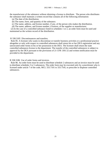the manufacturer of the substance without obtaining a license to distribute. The person who distributes the substance shall maintain a written record that contains all of the following information:

(a) The date of the distribution.

(b) The name, form, and quantity of the substance.

(c) The name, address, and license number, if any, of the person who makes the distribution.

(d) The name, address, and license number, if known, of the supplier or manufacturer.

 (2) In the case of a controlled substance listed in schedules 1 or 2, an order form must be used and maintained as the written record of the distribution.

R 338.3185 Discontinuances and transfers.

 Rule 85. A licensee who wants to discontinue or transfer business activities or a professional practice altogether or only with respect to controlled substances shall return his or her DEA registration and any unexecuted order forms in his or her possession to the DEA. The licensee shall return the state controlled substances license to the department. The transfer of the controlled substances is subject to approval by the DEA pursuant to the provisions of 21 CFR 1301.52 and written notification must be provided to the department.

R 338.3186 Use of order forms and invoices.

 Rule 86. An order form must be used to distribute schedule 2 substances and an invoice must be used to distribute schedules 3 to 5 substances. The order form may be executed only by a practitioner who is licensed under article 7 of the code, MCL 333.7101 to 333.7545, to prescribe or dispense controlled substances.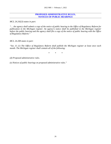#### **PROPOSED ADMINISTRATIVE RULES, NOTICES OF PUBLIC HEARINGS**

*MCL 24.242(3) states in part:* 

*"… the agency shall submit a copy of the notice of public hearing to the Office of Regulatory Reform for publication in the Michigan register. An agency's notice shall be published in the Michigan register before the public hearing and the agency shall file a copy of the notice of public hearing with the Office of Regulatory Reform."* 

*MCL 24.208 states in part:* 

*"Sec. 8. (1) The Office of Regulatory Reform shall publish the Michigan register at least once each month. The Michigan register shall contain all of the following:* 

*\* \* \** 

*(d) Proposed administrative rules.* 

*(e) Notices of public hearings on proposed administrative rules."*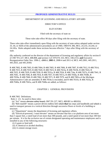# **PROPOSED ADMINISTRATIVE RULES**

# DEPARTMENT OF LICENSING AND REGULATORY AFFAIRS

# DIRECTOR'S OFFICE

### ELEVATORS

### Filed with the secretary of state on

These rules take effect 90 days after filing with the secretary of state.

These rules take effect immediately upon filing with the secretary of state unless adopted under section 33, 44, or 45(9) of the administrative procedures act of 1969, 1969 PA 306, MCL 24.233, 24.244, or 24.245a. Rules adopted under these sections become effective 7 days after filing with the secretary of state.

(By authority conferred on the director of the department of licensing and regulatory affairs by section 8 of 1967 PA 227, MCL 408.808, and section 3 of 1976 PA 333, MCL 338.2153, **and** Executive Reorganization Order Nos. 1996-2, -2003.1, **2003-1**, 2008-4 and 2011-4, MCL 445.2001, 445.2011, 445.2025, and 445.2030)

R 408.7002, R 408.7003, R 408.7004, R 408.7005, R 408.7006, R 408.7007, R 408.7012, R 408.7014, R 408.7015, R 408.7019, R 408.7020, R 408.7023, R 408.7023a, R 408.7023b, R 408.7024, R 408.7025, R 408.7029, R 408.7030, R 408.7031a, R 408.7034, R 408.734a, R 408.7037a, R 408.7041, R 408.7045, R 408.7046, R 408.7054, R 408.7057, R 408.7057a, R 408.7058a, R 408.7058b, R 408.7059a, R 408.7060, R 408.7062, R 408.7071, R 408.7079, and R 408.7081a of the Michigan Administrative Code are amended, R 408.7054a is rescinded, and R 408.7031b, R 408.7033a, R 408.7040a, R 408.7041a, and R 408.7048a are added, as follows:

# CHAPTER 1. GENERAL PROVISIONS

R 408.7002 Definitions.

Rule 2. (1) As used in these rules:

(a) "Act" means elevator safety board,  $1967$  PA 227, MCL  $408.801$  to  $408.824$ .

 (b) "Belt manlift" means a power-driven endless belt which **that** has steps and handholds and which is used to transport persons in a vertical direction through successive floors or levels of a building or structure.

(c) "Department" means the department of licensing and regulatory affairs.

 (d) "Electrical-powered, 1-man elevator" means an elevator that has a car platform area of not more than 5 square feet, a rated load of not more than 300 pounds, and a rated speed of not more than 100 feet per minute. It is for the exclusive use of certain designated operating and maintenance employees and is installed in any of the following structures:

(i) A grain or feed mill.

(ii) A chemical or alcohol distillery.

(iii) A cement storage tower.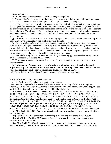(iv) A radio tower.

(v) A similar structure that is not accessible to the general public.

 (e) "Examination" means a survey of the design and construction of elevators or elevator equipment by a dealer in elevators or elevator equipment or an approved insurance company.

 (f) "Hand-powered, 1-man elevator" means an elevator which **that** has a car platform area of not more than 5 square feet, which has a rated load of not more than 300 pounds, and which is operated from the car only by pulling on a stationary rope that is located in the hoistway and passing through or adjacent to the car platform. The elevator is for the exclusive use of certain designated operating and maintenance employees and is installed in a grain or feed mill or a similar structure that is not accessible to the general public.

 (g) "Inspection" means the official determination by a general inspector of the condition of all parts of equipment on which the safe operation of an elevator depends**.** 

 (h) "Private residence elevator" means any elevating device installed in or at a private residence or installed in a building as a means of access to a private residence within such building, provided the elevator is installed so that it is not accessible to the general public or to other occupants in the building. The use is restricted to the owner and the owner's immediate family and nonpaying guests. All other elevating device installations shall **must** be classified as commercial.

 (i) "Special elevating device" includes another lifting or lowering apparatus which **that** is guided as provided in section 3 of the act**, MCL 408.803**.

 (j) "Temporary inspection" means the inspection of a permanent elevator that is to be used on a temporary basis.

### (k) **" Maintenance" means the process of routine examination, lubrication, cleaning, and adjustment of parts components or subsystems, or both, to ensure performance pursuant to these rules and the American Society of Mechanical Engineers (ASME) A17.1.**

(2) Terms defined in the act have the same meanings when used in these rules.

R 408.7003 Applicability of national standards.

Rule 3. The following standards are adopted by reference.

 (a) The following standards are available from the American Society of Mechanical Engineers (ASME), 22 Law Drive, Box 2900, Fairfield, New Jersey 07007-2900**, https://www.asme.org**, at a cost as of the time of adoption of these rules, as stated in this subdivision:

 (i) ASME A17.1-2010 **2016** safety code for elevators and escalators, except for sections, **1.2.1(b), 1.2.1(c),** 2.5.1.5.3, 2.8.3.3.2, 2.8.6, 2.11.1.3, 2.11.1.4, 2.11.7.2, 2.11.7.2.1, 2.11.7.2.2, 2.11.7.2.3, 2.11.7.2.4, 2.11.7.2.5, **2.12.7.2.1(c), 2.12.7.2.2,** 2.14.2.2(f), 2.14.2.6, 2.14.5.8.2, **2.14.5.9.2,** 2.16.5.1.3, 2.22.2, **2.27.3.1.6(c),** 3.18.3.8.3, 3.19.5.2, 3.22.1.6, 5.3.1.1.1, 5.3.1.1.2, 5.3.1.2.1, 5.3.1.14.3, **5.4.10.1,** 5.4.10.2, **5.11, 5.12, 5.12.1, 5.12.1.1, 5.12.1.2, 5.12.1.3, 5.12.1.4, 5.12.2, 5.12.3, 8.6.1.7.1, 8.6.4.20.1(b), 8.6.4.20.1(b)(1), 8.6.4.20.1(b)(2), 8.6.4.20.10(b), 8.6.4.20.10(b)(1), 8.6.4.20.10(b)(2),** 8.6.5.8, **8.6.7.11 to 8.6.7.11.3, 8.6.7.12, 8.6.7.12.1, 8.6.7.12.2,** 8.6.11.5 to 8.6.11.5.6, **8.6.11.10 to 8.6.11.10.4, 8.7.2.14.5.2,** 8.10.1.1.3, 8.11.1.1, 8.11.1.1.1, 8.11.1.1.2, **8.11.5.14 to 8.11.5.15.** Cost \$310.00 **\$252.00**.

 (ii) ASME A17.2-2012 **2017** guide for inspection of elevators, escalators, and moving walks. Cost \$180.00**\$195.00**.

 **(iii) ASME A17.3-2017 safety code for existing elevators and escalators. Cost \$168.00.**

 (iii)**(iv)** ASME A17.6-2010 **2017** standard for elevator suspension, compensation, and governor systems. Cost \$90.00 **\$92.00.**

 (iv) ASME A17.7-2007 performance-based safety code for elevators and escalators, except for where the Michigan elevator rules make an exception to, addition to, or an amendment of, an ASME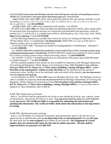A17.1/CA B44 code section the Michigan elevator rules shall govern over the corresponding section in ASME A17.7/CSA B44.7 and must obtain department approval. Cost \$155.00.

 (v)**(v)** ASME A18.1-2011 **2017** safety code standard for platform lifts and stairway chairlifts, except for sections 2.1.2 to 2.1.2.8, 2.1.3 to 2.1.3.10, 3.10.2 to 3.10.2.4, 10.1.1, 10.1.2 to 10.1.2.3, 10.1.3.3, 10.1.4, and 10.2.1. Cost \$90.00**\$98.00**.

(vi) **(vi)** ASME A90.1-2009 safety standard for belt manlifts. Cost \$59.00.

 (b) ANSI A10.4-2007 **2016**, the American n**N**ational s**S**tandards i**I**nstitute (ANSI), safety requirements for personnel hoist and employee elevators for construction and demolition and operations, except for sections 24.1.2.1 and 26.4.8.1, is available from ANSI at 1430 Broadway, New York, New York, 10018**, https://www.ansi.org**. Cost \$74.00 **\$110.00**.

 (c) The following standards are available from American Society for Testing and Materials, (ASTM), 100 Bar Harbor Drive, 2 Conshohocken, PA **Pennsylvania** 19428-2959, at a cost as of the time of adoption of these rules, as stated in this subdivision:

 (i) ASTM D 2667-2008, '**"**Standard test method for biodegradability of alkylbenzene sulfonates'**"**. Cost \$47.00**\$69.00**.

 (ii) ASTM E 648-2010, standard test method for critical radiant flux of floor-covering systems using a radiant heat energy source. Cost \$47.00. ASTM E 648-2010, standard test method for critical radiant flux of floor-covering systems using a radiant heat energy source. Cost \$47.00**\$69.00**.

 (iii) ASTM F 714-2012, **"**standard specification for polyethylene (PE) plastic pipe (SDR-PR) based on outside diameter'**"**. Cost \$47.00 **\$69.00**.

 (d) The standards adopted in this subrule are also available for inspection at the Michigan Department of Licensing and Regulatory Affairs, Bureau of Construction Codes, 2501 Woodlake Circle, Okemos, Michigan 48864 **611 W. Ottawa St., 1st Floor Ottawa Building, Lansing, Michigan 48933**. Copies **Direction to the organizations' website to order the book** may be obtained from the bureau of construction codes. at t**T**he cost of the individual codes as **is** noted in this subrule**.**, plus the department's cost for shipping and handling.

 (e) All references to NFPA 70-2011 **2017** mean the Michigan electrical code. The Michigan electrical code is available for inspection **at** or may be purchased from the Michigan Department of Licensing and Regulatory Affairs, Bureau of Construction Codes 2501 Woodlake Circle, Okemos, Michigan 48864, **611 W. Ottawa St., 1st Floor Ottawa Building, Lansing, Michigan 48933,** at a cost as of the time of adoption of these amendatory rules of \$89.50.

R 408.7004 Registration of elevators.

 Rule 4. An elevator shall be registered by the owner or user stating the location, type, capacity, name of manufacturer, and purpose for which it is used. This registration shall be made on a form furnished by the department. **The certificate holder is responsible for submitting this information and updating this information. The certificate holder shall submit this information to the department in writing.** 

R 408.7005 Identification plates and tags.

 Rule 5. (1) The holder of a certificate of operation shall permanently attach to the elevator in an approved area an identification plate **or an engraving in the car operating panel,** showing **the type,** the rated load**,** and the **state-assigned** serial number of each elevator. **The assignment of a serial number does not automatically make the unit safe for public operation. All units shall be inspected before use pursuant to R 408.7010.**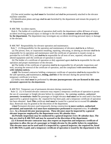(2) One serial number tag shall **must** be furnished and shall be permanently attached to the elevator machine controller.

 (3) Identification plates and tags shall be **are** furnished by the department and remain the property of the department.

R 408.7006 Accident reports.

 Rule 6. The holder of a certificate of operation shall notify the department within 48 hours of every accident involving personal injury or damage to the elevator. **in a manner and on a form prescribed by the department.** The department may investigate any accidents involving personal injury or damage to the elevator.

R 408.7007 Responsibility for elevator operation and maintenance.

 Rule 7. (1) Responsibility for the operation and maintenance of elevators shall be **is** as follows: (a) The person, firm, or corporation installing, repairing, relocating, or altering an elevator shall be **is** responsible for its operation and maintenance until the certificate of operation is issued, except as provided for in R 408.7012**,** and shall be **is** responsible for all tests of new, repaired, relocated, and altered equipment until the certificate of operation is issued.

 (b) The holder of a certificate of operation or duly appointed agent shall be **is** responsible for the safe operation and proper maintenance of the elevator.

 **(c)** The holder of the certificate of operation shall be **is** responsible for all periodic inspections and tests, securing the renewal of the certificate of operation, and the compliance with correction orders. **with violation notices.** 

 (c)**(d)** The licensed contractor holding a temporary certificate of operation shall be **is** responsible for the safe operation**,** and maintenance**, testing, and fees** of the elevator during the period that the temporary certificate is in force.

 (2) Safety tests shall **must** be performed by **elevator journeypersons who are licensed in this state.**  personnel approved by the department.

R 408.7012 Temporary use of permanent elevators during construction.

 Rule 12. (1) A licensed elevator contractor may request a temporary certificate of operation to permit the use of a passenger or freight elevator before its completion. for carrying workers, authorized personnel, or materials. Such The passenger or freight elevator shall **must** not be used until it has been approved by a general inspector, the required fee has been paid, and a temporary certificate of operation has been obtained. Such **This** certificate shall **must** be issued for a period not to exceed 90 **calendar** days. Renewals may be granted at the discretion of the department.

 (2)**(a)** Permanent elevators used temporarily during construction **to move workers, authorized personnel, and materials** shall **must have maintenance performed** be inspected every 30 **calendar** days. **by a licensed elevator journeyperson. These elevators must be inspected by a general elevator inspector employed by the department every 90 calendar days.** 

 **(b) Periodic inspections may be conducted by a general inspector every 30 calendar days. The fees are cited in R 408.7019 and may be assessed at the discretion of the department.** 

 **(2) A licensed elevator contractor may also request an inspection and temporary certificate of operation to allow the use of a passenger or freight elevator by the public before its completion. This elevator must not be used until it is inspected by a general inspector; the required fee, listed in R 408.7019, is paid; and a temporary certificate of operation is issued by the department to the**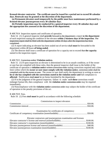**licensed elevator contractor. The certificate must be issued for a period not to exceed 90 calendar days. Renewals may be granted at the discretion of the department.** 

 **(a) Permanent elevators used temporarily by the public must have maintenance performed by a licensed elevator journeyperson every 30 calendar days.** 

 **(b) Periodic inspections may be conducted by a general inspector every 30 calendar days and the appropriate fees assessed at the discretion of the department.** 

R 408.7014 Inspection reports and certificates of operation.

 Rule 14. (1) A general inspector shall **provide** forward to the department a report **to the department** of each inspection stating the condition of the elevator **within 2 business days of the inspection**. The inspection report shall be filed with the department within 10 days after the inspection has been completed.

 (2) A report indicating an elevator has been sealed out of service shall **must** be forwarded to the department within 48 hours **of being sealed**.

 (3) The director shall issue a certificate of operation for a capacity not to exceed that **the capacity** named in the inspection report.

### R 408.7015 Correction orders **Violation notices**.

 Rule 15. (1) If upon inspection an elevator is determined to be in an unsafe condition, or if the owner or user has not complied with these rules, then the general inspector shall issue to the holder of the certificate of operation a **violation notice** written correction order stating corrections required and a time limit within which the **owner or user must comply with the violation notice.** correction order shall be complied with by the owner or user. The owner or user shall notify the department in writing as soon as **he or she has complied with the corrections stated in the violation notice and** full compliance is **affected**. Notification shall **must** be on forms furnished by the department.

 (2) If in the judgment of the general inspector, failure to make such **these** corrections would endanger human life, then compliance with the **violation notice** correction order may be required immediately.

 (3) Noncompliance with the **violation notice** correction order may subject the holder of the certificate of operation to the penalty provisions of the act.

#### R 408.7019 Fees.

Rule 19. (1) Fees shall **must** be paid in accordance with the following schedule:

#### Commissions to inspect elevators

### Examination for certificates of competency

Certificate of competency examination (nonrefundable) .................................................... \$50.00.

| Elevator contractors and journeyperson examination and licenses |  |
|-----------------------------------------------------------------|--|
|                                                                 |  |
|                                                                 |  |
|                                                                 |  |
|                                                                 |  |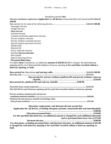#### Installation permits **fees**

| Elevator installation application Application fee all devices (nontransferable and nonrefundable) \$60.00 |
|-----------------------------------------------------------------------------------------------------------|
| <b>100.00.</b>                                                                                            |
|                                                                                                           |
| Passenger elevator                                                                                        |
| Freight elevator                                                                                          |
| -Mine elevator                                                                                            |
| Inclined elevator                                                                                         |
| Limited-use/limited application elevator                                                                  |
| Private residence elevator                                                                                |
| Private residence inclined elevator                                                                       |
| Special purpose personnel elevator                                                                        |
| Dumbwaiter                                                                                                |
| Material lift                                                                                             |
| Power sidewalk elevator                                                                                   |
| Rooftop Elevator elevator                                                                                 |
| Belt manlift                                                                                              |
| Special elevating device                                                                                  |
| <b>Personnel Hoist hoist</b>                                                                              |
| For above these installations, an additional amount of \$50.00 \$25.00 is charged for each hoistway       |
| opening and for each floor traveled without a hoistway opening or for each floor traveled without a       |
| hoistway opening, or both.                                                                                |

| Base permit fee: private residence platform lift and private residency stairway |  |
|---------------------------------------------------------------------------------|--|
|                                                                                 |  |
| Base permit fee: platform lift and stairway chairlift \$100.00.                 |  |

| Plus \$25.00 for each hoistway opening and for each floor traveled without a hoistway opening. |  |
|------------------------------------------------------------------------------------------------|--|
|                                                                                                |  |

| Private residence platform lift and private             |  |
|---------------------------------------------------------|--|
|                                                         |  |
| Platform lift and stairway chairlift in buildings other |  |
|                                                         |  |

**Alteration, replacement, and dormant elevator permit fees Application fee: all devices, excluding emergency permits, nontransferable and nonrefundable. ………………………………………………………………… \$100.00. Alteration personnel hoist …………………………………………………. \$150.00. For the specified alteration fees, an additional amount is charged for each additional alteration and or personnel hoist tower rise at \$75.00. Dormant elevator ………………………………………………………….. \$100.00. For alterations, excluding personnel hoist, and dormant elevators, an additional amount of \$25.00 is charged for each hoistway opening or for each floor traveled without a hoistway opening, or both.**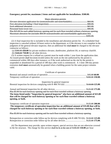# **Emergency permit fee, maximum 2 items and not applicable for installations. \$500.00.**

#### Major alteration permits

| Elevator alteration application fee (nontransferable and nonrefundable)\$60.00.                      |       |
|------------------------------------------------------------------------------------------------------|-------|
|                                                                                                      |       |
|                                                                                                      | R5500 |
|                                                                                                      |       |
| Plus \$25.00 for each added hoistway opening and for each floor traveled without a hoistway opening. |       |
| Maximum alteration fee (includes \$60.00 nontransferable and nonrefundable application fee)          |       |
|                                                                                                      |       |

 (2) A final inspection fee is included in the installation and alteration permit fee. If a scheduled final inspection is canceled without 24 hours notice to the department, or if the elevator is not complete in the judgment of the general elevator inspector, then an additional fee shall **must** be charged to the elevator contractor as follows:

(a) \$300.00 **450.00** for private residence elevator, dumbwaiter, platform lift, or stairway chairlift.

(b) \$500.00 **750.00** for all other devices.

 (3) A written request for a refund on a permit must be made within 1 year from the application date. An issued permit shall become**s** invalid unless the work on the site authorized by the permit is commenced within 180 days after issuance, or if the work authorized on the site by the permit is suspended or abandoned for a period of 180 days after work is commenced. A 1-time 180-day permit extension shall **must** automatically be granted when a building permit for the same project remains valid.

#### Certificate of operation

#### Inspection by general inspector

| $\frac{1}{2}$ |  |
|---------------|--|
|               |  |

Annual and biennial inspection for all other devices ........................................................ \$125.00 **175.00**. Plus \$5.00 for each hoistway opening and for each floor traveled without a hoistway opening. **The items listed under "Inspection by general inspector" also have an additional amount of \$25.00 that will be charged for each hoistway opening or for each floor traveled without a hoistway opening, or both.** 

Temporary certificate of operation inspection .................................................................. \$125.00 **200.00**. **The temporary certificate of operation inspection has an additional amount of \$35.00 that will be charged for each hoistway opening or for each floor traveled without a hoistway opening, or both.** 

Plus \$5.00 for each hoistway opening and for each floor traveled without a hoistway opening.

Reinspection or correction order follow-up for devices complying with R 408.7011(b) .. \$110.00 **125.00**. Reinspection or correction order follow-up for all other devices ...................................... \$125.00 **175.00**.

 (4) The department may provide, upon written request, special services that are not otherwise covered in the fee structure. The charge for this service shall be **is** at the rate of \$100.00 **150.00** per hour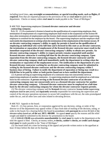including travel time.**, any overnight accommodations, or special traveling needs, such as flights, if required.** Fees that are required pursuant to the provisions of the act shall **must** be paid to the department. Checks or money orders shall **must** be made payable to the "State of Michigan."

#### R 408.7020 Supervising employees **Licensed elevator contractor and elevator contracting company.**

Rule 20. (1) If a contractor's license is based on the qualification of a supervising employee, then termination of employment of a supervising employee shall result in the suspension of the license 90 days after termination of employment and the license shall remain suspended until another supervising employee is certified for the employer by the board. The supervising employee and the employer shall each notify the department in writing when the termination of the employment of the former occurs. **If an elevator contracting company's ability to apply for permits is based on the qualification of employing an individual who works full-time and is licensed in this state as an elevator contractor, the termination or separation of employment of the licensed elevator contractor must result in the immediate suspension of the elevator contracting company's ability to obtain new permits. An elevator contracting company's ability to request permits remains suspended until another licensed elevator contractor is working full time for the elevator contracting company. Upon separation from the elevator contracting company, the licensed elevator contractor and the elevator contracting company shall each immediately notify the department in writing when the termination or separation of the employment occurs. The notification to the department of a new licensed elevator contractor working for an elevator contracting company must be submitted in writing by the licensed elevator contractor and the elevator contracting company within 5 business days of hiring. Failure to notify the department of separation or hiring may result in a \$50.00 fine to be paid by either or both parties found not to have notified the department.** 

 (2) A person serving as supervising employee of a contractor may not concurrently serve as supervising employee of another contractor. A supervising employee shall be employed on a full-time basis by the contractor. **A person serving as the licensed elevator contractor of an elevator contracting company may not concurrently serve as a licensed elevator contractor for another elevator contracting company. A licensed elevator contractor must be employed on a full-time basis by the elevator contracting company for whom the elevator contractor requests permits.** 

 (3) The elevator contracting company and the **licensed** elevator contractor license holder supervising employee shall be **are** jointly and **separately** severally responsible for exercising the supervision and control of the elevator operations necessary to secure full compliance with the act, the rules promulgated under the act, and all other laws and rules related to elevating devices.

#### R 408.7023 Appeals to the board.

 Rule 23. (1) Any person, firm, or corporation aggrieved by any decision, ruling, or order of the director or of the department may appeal within 15 days from date of mailing of the decision, ruling, or order to the board, for a hearing before the board in accordance with **pursuant to** section 8(1)(d) of the elevator safety board act, **of the act, MCL 408.808**. An appeal **must** specify the reasons and the relief sought and shall be submitted to the director for presentation to the board.

 (2) A \$200.00 **250.00** non-refundable **nonrefundable** fee shall **must** be made to the department at the time the appeal is filed. Checks**,** or money orders**, e-checks, cashier's checks, or credit card charges** shall **must** be made payable to the "State of Michigan."

 (3) The board shall set a time for hearing of the appeal and provide written notice to the appellant at least 10 days before the date set for hearing.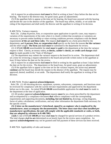(4) A request for an adjournment shall **must** be filed in writing at least 5 days before the date set for hearing. The board or the director may, for good cause, grant an adjournment.

 (5) If the appellant fails to appear at the time set for hearing, the board may proceed with the hearing and decide the case in the absence of the appellant. The board may affirm, modify, or set aside the ruling of the department and shall notify the director and the appellant in writing of its decision.

### R 408.7023a Variance requests.

 Rule 23a. (1)Any **A** person, firm, or corporation upon application in specific cases, may request a variation of the requirements of the rules when it is clearly evident that exceptions or variations are necessary to prevent undue hardship or when existing conditions prevent compliance with the literal requirements **of the act and these rules**. The request shall **must** be on a form prescribed by the department**.** and **A person, firm, or corporation shall** specify on the form the reasons **for the variance** and the relief sought. **The form** and shall **must** be submitted to the department for review.

 (2) A \$75.00 **100.00** nonrefundable fee shall **must** be **paid** to the department at the time the variance request is filed. Checks**,** or money orders**, e-checks, cashier's checks, or credit card charges** shall **must** be made payable to the "State of Michigan".

 (3) The department may submit the variance request to the board for its action. The department shall set a time for reviewing a request submitted to the board and provide written notice to the appellant at least 10 days before the date set for the review.

 (4) A request for an adjournment shall **must** be filed in writing by the appellant at least 5 days before the date set for the review. The department or the board may, for good cause, grant an adjournment.

 (5) If the appellant fails to appear at the time set for the variance request, the action may proceed **continue** and the board may decide the request in the absence of the appellant. The request may be approved, denied, modified, or set aside. The department shall notify the appellant in writing of the decision.

### R 408.7023b Product approval **acknowledgement**.

 Rule 23b. (1) All elevating devices, equipment, systems, subsystems, components, and functions must be reviewed for compliance with the current elevator requirements and approved by the department before use in this state. An initial \$75.00 **100.00** nonrefundable application fee shall **must** be made to the department at the time of application.

 (2) All product approval **acknowledgement** requests **must** be on a form prescribed by the department and accompanied by a compliance document **that** reflects compliance with the corresponding requirements and supporting documents**, including, but not limited to,** drawings, wiring diagrams, factor of safety calculations, certifications, and any other information the department finds necessary for the specific review.

#### **(3) A letter on the manufacturer's letterhead, signed by an engineer who is employed by the manufacturer, must accompany the documentation. The letter must state that when installed per manufacturer specifications, the unit will comply with the applicable standards or codes, or both, that are adopted by reference in R 408.7003.**

 (3)**(4)** A rate of \$75.00 **100.00** per hour shall **may** be charged for special services of a product review. The total charges shall be **are** determined on an hourly basis for the review upon completion. An approval **acknowledgement** may not be granted until full payment of these services has been received.

R 408.7024 Applicability of rules and manual.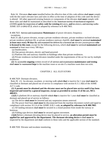Rule 24. Elevators **that were** installed before the effective date of this code edition shall **must** comply with the this state's elevator laws and rules in effect at the time of adoption of this code until the device is altered. All other approved existing features or components of the elevator shall **must** comply with these rules and shall be maintained as described in the American society of mechanical engineers (ASME) guide for inspection of **safety code for existing e**levators, **and e**scalators, and moving walks ASME A17. 2-2012 **17.3**, which is adopted by reference in R 408.7003.

R 408.7025 Service and examination **Maintenance** of power elevators; frequency;

exceptions.

 Rule 25. **(1)** A power elevator, except a private residence elevator, private residence inclined elevator, private residence platform lift, or private residence stairway chairlift, shall **must** be serviced **maintained at least once every 90 days by** and examined for defects by a licensed **an** elevator journeyperson **who is licensed in this state**, except for the following devices**,** which shall **must** be serviced **maintained** and examined at least once every 180 days:

(a) Dumbwaiters.

(b) One-person elevators, electric and hand-powered.

(c) Platform lifts and stairway chairlifts in buildings other than private residences.

 (d) Private residences inclined elevators installed under the requirements of the act for use by multiple residences.

 **(2)** An accessible **ongoing** written record of all service and examination **maintenance and testing** shall **must** be maintained **kept** in the machine room or on-site if a machine room does not exist.

# CHAPTER 2. ALL ELEVATORS

R 408.7029 Dormant elevators.

 Rule 29. (1) An elevator, escalator, or moving walk which **that** is inactive for 1 year shall **must** be classified as dormant and placed out of service in compliance with section 8.11.1.4(b) of the ASME A17.1 code.

 **(2) A permit must be obtained and the elevator must not be placed into service until it has been inspected and tested by a general inspector, except as provided in section 15 of the act, MCL 408.815.** 

 (2)**(3)** A platform lift or stairway chairlift which **that** is inactive for 1 year shall **must** be classified as dormant and placed out of service as follows:

(a) The device shall **must** be lowered and any suspension means removed.

 (b) The power feed lines shall **must** be disconnected from the machine disconnect switch and taped in compliance with section 10.1.6 of the ASME A18.1 code**, as adopted by reference in R 408.7003**.

 (c) All landing entrances shall **must** be secured in a closed position from inside the runway or hoistway.

(d) Folding type devices shall **must** be secured against movement.

 (3)**(4)** Before a dormant elevating device may be placed in service, **an alteration permit must be applied for and approved by the department. The dormant elevating device** it shall **must** be inspected by the department and shall conform to these rules and the applicable section of the standard.

R 408.7030 Elevator and escalator monitoring.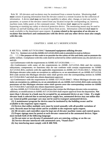Rule 30. All elevators and escalators may be monitored from a remote location. Monitoring shall **must** consist of passing information from the elevator control to a remote location for the collection of information. A device shall **may** not have the capability to adjust, alter, change**,** or reset any switch, parameter, or system of the elevator control from any location except the corresponding car, hoistway, machine room, lobby panel, or fire command center. The device shall **must** not be capable of bypassing or resetting any safety or electrical protective device. The monitoring means may be used to initiate car and hall landing calls or to secure floors from access. Information collected shall **must** be made available to the department upon request. **A system related to the operation of an elevator or escalator that interfaces and communicates with the device and any other device must also comply with this rule.** 

# CHAPTER 3. ASME A17.1 MODIFICATIONS

# R 408.7031a ASME A17.7/CSA B44.7 **Automated equipment utilizing elevator**.

Rule 31a. Section 1.2.1 of the ASME A17.1/CSA B44 code is amended to read as follows:

 $(1)$  1.2.1 The purpose of this code is to provide for the safety of life and limb, and to promote the public welfare. Compliance with this code shall be achieved by either subdivisions (a), (b) and (d) or (c) and  $(d)$ :

(a) Conformance with the requirements in ASME A17.1/CSA B44.

 (b) Conformance with some of the requirements in ASME A17.1/CSA B44 and for systems, subsystems, components, or functions that do not conform with certain requirements in ASME A17.1/CSA B44, conform with the applicable requirements in ASME A17.7/CSA B44.7. Where the Michigan elevator rules make an exception to, addition to, or an amendment of, an ASME A17.1/CSA B44 code section the Michigan elevator rules shall govern over the corresponding section in ASME A17.7/CSA B44.7 and shall also obtain department approval.

 (c) Conformance with the requirement in ASME A17.7/CSA B44.7. Where Michigan elevator rules make an exception to, addition to, or an amendment of, an ASME A17.1/CSA B44 code section the provisions of the Michigan elevator rules shall govern over the corresponding section in ASME A17.7/CSA B44.7 and shall also obtain department approval.

 (d) Any ASME A17.7/CSA B44.7 certifications that violate the Michigan elevator rules exceptions, additions, or modifications to ASME A17.1/CSA B44 shall require approval from the department. **Not more than 1 elevator in a bank may be occupied by an automated device at any 1 time. If a single elevator bank is selected due to normal power supply loss, automated devices may not utilize that car. General public passenger cars may not be used to transport automated devices.** 

 **(2) A maintenance program for devices must be instituted by the building owner and be available to the requestor upon request.** 

 **(3) Devices that utilize multiple carts must be tested annually with all possible variations of carts. Records must be kept onsite and be available to the requestor upon request.** 

 **(4) All circuitry and controllers must be kept out of elevator machine rooms and control spaces.** 

 **(5) Proper signage must be posted at each elevator connected to the automated devices. Signs must include both of the following language:** 

 **(a) Do not enter or use elevator if automated carts are entering, exiting, or on the car.** 

 **(b) Service elevator interfaced with automated carts, "Stand clear!"** 

 **(6) Any interfacing must comply with R 408.7030.**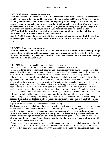## **R 408.7031b Guards between adjacent pits.**

 **Rule 31b. Section 2.2.3 of the ASME A17.1 code is amended to read as follows: Guards must be provided between adjacent pits. The guard must be not less than 2,000mm, or 79 inches, from the pit floor, metal unperforated or perforated, with openings that will reject a ball of 50 mm, or 2 inches. It must be supported and braced such that it will not deflect more than 25mm, or 1 inch, when subjected to a force of 4.79 kPa (100lbf/ft2) applied horizontally at any point. The guard may extend not less than 305mm, or 12 inches, horizontally on each side of the ladder. NOTE: A single horizontal structural element at the top of a pit ladder, used to stabilize the vertical side rails, is not considered a rung or handgrip.** 

**EXCEPTION: The guard may be omitted if the clearance between the underside of the car sling when resting on a fully compressed buffer and the bottom of the pit is not less than 2.13m, or 7 feet.** 

#### **R 408.7033a Sumps and sump pumps.**

 **Rule 33a. Section 2.2.2.6 of ASME A17.1 is amended to read as follows: Sumps and sump pumps in pits, where provided, must be covered. Covers must be secured and level with the pit floor and be either a recessed grate type or solid. If solid, it must have means to permit water flow to comply with section 2.2.2.5 of ASME 17.1.** 

R 408.7034 Enclosure of machine rooms and machinery spaces.

Rule 34. Section 2.7.1 of the ASME A17.1 code is amended to read as follows:

 2.7.1. Machines, control equipment, sheaves, and other machinery shall **may** not be exposed to the weather. Machine room, control room, and machinery-space enclosures shall **must** conform to section 2.7.1.1 or 2.7.1.2, and shall also conform to 2.7.1.3 of the ASME A17.1 code, as applicable.

 Machine rooms and control rooms shall **must** be located at a hoistway landing associated with the equipment within the room. Elevator machine and control rooms may be located overhead, adjacent to, underneath the hoistway, or at a remote location. The entrance to the machine room or control room shall **may** be not more than 25 feet, clear unobstructed walking pathway from the elevator hoistway door. The distance from the machine room door to the hoistway door may be over 25 feet when the machine room is located directly above the hoistway in a conventional layout. Pit and hoistway access doors shall **may** not be a direct access between a hoistway enclosure and machine room or control room.

 Elevators installed without a machine room or control room shall **must** locate the required disconnecting means in a single machinery space or control space outside **of** the hoistway **in a separate dedicated control space that is readily accessible and adjacent to the control space that contains the control,** located within 25 feet clear unobstructed walking pathway of the elevator hoistway door, inspection**,** and test panel,**.** and at the same hoistway landing.

The disconnecting means shall **must** be located in a single dedicated space, or dedicated room**,** intended with or without full body entry, and shall be secured so only the elevator journeyperson or other qualified personnel may gain access. **at a distance not to exceed 25 feet from the landing that contains the elevator control, inspection, or test panel. The disconnecting means must be secured so that only elevator journeyman and qualified personnel may gain access. If the controller is within a manufacture's door frame, signage must be placed at or near the frame with the specific location of the disconnecting means.** 

 Access to machine rooms, control rooms, machine spaces, or control spaces shall **may** not be through restrooms, lavatories, locker rooms, or associated vestibules. Where enclosed ceilings are required or provided**,** they shall **must** be of a solid type with no access panels. Drop type ceilings shall **are** not be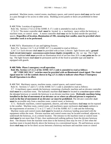permitted. Machine rooms, control rooms, machinery spaces, and control spaces shall **may** not be used as a pass through or for access to other areas. Building access panels or doors are prohibited in these areas.

### R 408.7034a Location of equipment.

Rule 34a. Section 2.7.6.3.2 of the ASME A 17.1 code is amended to read as follows:

 2.7.6.3.2 The motor controller shall **must** be located in a machinery space within the hoistway, a machine room, or control room. A motor controller shall **may** not be located outside the specified spaces. **Regardless of location, illumination of 19fc, meaning foot candles, must be provided where controller work is to be performed.** 

R 408.7037a Illumination of cars and lighting fixtures.

Rule 37a. Section 2.14.7.1.4 of ASME A17.1 is amended to read as follows:

 2.14.7.1.4 Each elevator shall **must** be provided with at least 2 electric light fixtures and a **ground fault circuit interrupter** convenience outlet fixture **duplex receptable** on the car top. The 2 light fixtures combined shall **must** provide an illumination level of not less than 10 fc at **any point on** the car top. The light fixtures shall **must** be permanent and be of the fixed or portable type and shall be equipped with guards.

### **R 408.7040a Phase I emergency recall operation.**

 **Rule 40a. Section 2.27.3.1.5 of the ASME A17.1 code is amended to read as follows: All " FIRE RECALL" switches must be provided with an illuminated visual signal. The visual signal must be 1 of the symbols shown in Fig.2.27.3.1.6(h) to indicate when Phase I Emergency Recall Operation is in effect.** 

R 408.7041 Machinery spaces, machine rooms, control spaces, and control rooms.

 Rule 41. Sections 3.7 and 3.7.1 of the ASME A17.1 code is amended to read as follows: 3.7. A machinery space outside the hoistway containing a hydraulic machine and an elevator controller shall **must** be a machine room. The hydraulic machine shall **must** be located in a machine space within the elevator hoistway or outside the hoistway in an elevator machine room. **Hydraulic machines being installed in the line of movement of an elevator car or where an affected person is required to**  work in the line of movement of an elevator car must be prohibited. The elevator controller shall **must** be accessible only from a machine room, control room, or hoistway.

 3.7.1. Hydraulic machines, control equipment, sheaves, and other machinery shall **may** not be exposed to the weather. Machine room, control room, and machinery-space enclosures shall **must** conform to the requirements of sections 2.7.1 to 2.7.7 and 2.7.9 of the ASME A17.1 code and the following:

 Machine rooms and control rooms shall **must** be located at a hoistway landing associated with the equipment within the room. Elevator machine and control rooms may be located overhead, adjacent to, underneath the hoistway, or at a remote location. The entrance to the machine room or control room shall **must** be not more than 25 feet, clear unobstructed walking pathway from the elevator hoistway door. The distance from the machine room door to the hoistway door may be over 25 feet when the machine room is located directly above the hoistway in a conventional layout. Pit and hoistway access doors shall **may** not be for direct access between a hoistway enclosure and machine room or control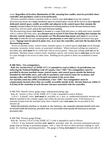room. **Regardless of location, illumination of 19fc, meaning foot candles, must be provided where controller and machinery work is to be performed.** 

 Elevators installed without a machine room or control room shall **must** locate the required disconnecting means in a single machinery space or control space outside **of** the hoistway **in a separate dedicated control space, readily accessible and adjacent to the control space that contains the control,** Located within 25 feet clear unobstructed walking pathway of the elevator hoistway door, inspection, and test panel<del>, and at the same hoistway landing</del>.

The disconnecting means shall **must** be located in a single dedicated space, or dedicated room**,** intended with or without full body entry, **at a distance not to exceed 25 feet from the landing that contains the elevator control, inspection, or test panel.** and **The disconnecting means** shall **must** be secured **so that only** so only the elevator journeyperson-journeyman or other and qualified personnel may gain access. **Signage must be placed in plain view, at or near the controller, and state the location of the disconnecting means.** 

 Access to machine rooms, control rooms, machine spaces, or control spaces shall **may** not be through restrooms, lavatories, locker rooms, or associated vestibules. Where enclosed ceilings are required or provided**,** they shall **must** be of a solid type with no access panels. Drop type ceilings shall **are** not be permitted. Machine rooms, control rooms, machinery spaces, and control spaces shall **may** not be used as a pass through or for access to other areas. Building access panels or doors are prohibited in these areas.

#### **R 408.7041a. Fire extinguishers.**

 **Rule 41a. Section 8.6.6.5 of ASME A17.1 is amended to read as follows: In jurisdictions not enforcing the National Building Code of Canada, Class "ABC" fire extinguishers must be provided in elevator machine rooms, control rooms, and control spaces outside the hoistway intended for full bodily entry, and walk-in machinery and control rooms for escalators and moving walks; and they must be located convenient to the access door. For machine-room-less (MRL) installations, Class "ABC" fire extinguishers must be conspicuously located where they are readily accessible outside of the elevator hoistway within 21 ft (6.4m) of the centerline of each elevator entrance associated with the controller.** 

R 408.7045 Shutoff valves; gauge snaps; underground piping; tags.

Rule 45. Section 3.19.4.1 of the ASME A17.1 code is amended to read as follows:

 3.19.4.1 A shutoff valve shall **must** be provided on a new or modernized hydraulic elevator and shall be installed in the cylinder supply line within the elevator machine room. If the hoistway is remotely located from the machine room, then a shutoff valve shall **must** also be provided in the elevator pit.

Where the hydraulic machine is located in the hoistway, the manually operated shutoff valve may be located inside the hoistway, provided that it is accessible from outside the hoistway to elevator personnel only.

R 408.7046 Pressure gauge fittings.

Rule 46. Section 3.19.4.5 of the ASME A17.1 code is amended to read as follows:

 3.19.4.5 A new hydraulic machine shall **must** be provided with the necessary permanent pressure gauge snap-on fittings or permanent gauges, with a shut off valve to allow pressure readings at each pump for checking operating pressures. The gauge or fitting shall **must** be located on the jack side of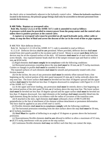the check valve or immediately adjacent to the hydraulic control valve. Where the hydraulic machine is located in the hoistway, the pressure gauge fittings shall only be accessible to elevator personnel from outside the hoistway.

#### **R 408.7048a. Rupture or overspeed valve.**

 **Rule 48a. Section 5.3.2.2.2 of the ASME A17.1 code is amended to read as follows: A pressure switch must be provided to remove power from the pump motor and the control valve unless there is positive pressure at the control valve.** 

 **A rupture or overspeed valve must be provided on all roped hydraulic jacks, either cable or chain, to stop the flow of fluid and arrest the descent of the car in the event of line or pipe rupture.**

R 408.7054 Skirt deflector devices.

Rule 54. Section 6.1.3.3.10 of the ASME A17.1 code is amended to read as follows:

 6.1.3.3.10 Deflector devices shall be **are** permitted. Where provided, deflector devices shall **must**  extend from skirt panels parallel to the escalator path of travel. Means to secure such **these** deflector devices may be on the exposed surface of the skirt. All fasteners shall **must** be of steel with machine screw threads. Any exposed fastener heads shall be of the tamper-resistant type and flush to within 1 mm. or  $(0.04$  inch.

(1) Rigid elements shall **must comply** be in compliance with the following conditions:

 (a) Horizontal protrusions extending above the step shall **must** be 18 mm**, or** (0.75 inch)**,** maximum. Corners or changes in profile shall **must** be rounded or beveled.

 The exposed surfaces of such elements shall **must** be smooth and permanently treated with a lowfriction material.

 (b) On the incline, the area of any protrusion shall **must** lie entirely offset outward from a line beginning on the vertical portion of the skirt panel measured 25 mm**, or** (1 inch)**,** vertically above the step nose line. The lower surface shall **must** be beveled not less than 10 degrees upward and the upper surface shall **must** be beveled not less than 15 degrees downward in compliance with Figure 6.1.3.3.10 of the ASME A17.1 code.

 (c) At the upper and lower landing, any protrusion shall **must** lie entirely above a line beginning on the vertical portion of the skirt panel 50 mm**, or** (2 inches)**,** above the step nose line. The lower surface shall **must** be beveled not less than 10 degrees upward and the upper surface shall **must** be beveled not less than 15 degrees downward. Any rigid elements at the landings shall **must** smoothly blend into the rigid elements along the incline in accordance with the radius of curvature of the transition zone.

 (d) If attached to the skirt, rigid elements shall **must** withstand a force of 900 N (200 lbf) perpendicular to the line of attachment of the element without detachment or permanent deformation. The force shall be applied to an area of 645 mm<sup>2</sup> (1 inch<sup>2</sup>).

(2) Flexible elements shall **must** be in compliance **comply** with the following conditions:

 (a) The horizontal protrusion extending from the skirt surface above the step shall **must** be 50 mm**, or** (2 inches)**,** maximum.

 (b) Shall **Must** be capable of deflecting to an angle of 10 degrees or greater above the horizontal protrusion.

 (c) Noncontinuous flexible elements shall be **are** allowed to deflect to allow a maximum of 9.5 mm**, or** (0.375 inch)**,** interference with any point on the step surface.

(d) Continuous flexible elements shall **may** not deflect such that they can contact the steps.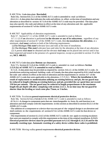#### R 408.7054a Code data plate. **Rescinded.**

Rule 54a. Section 8.6.1.5.1 of the ASME A17.1 code is amended to read as follows:

-8.6.1.5.1 A data plate that indicates the code and edition in effect at the time of installation and any alteration as described in section 8.7.1.8 of the ASME A17.1 code may be provided. The data plate may also specify the code and edition in effect at the time of any alteration and the applicable requirements of section 8.7 of the ASME A17.1 code.

R 408.7057 Applicability of alteration requirements.

Rule 57. Section 8.7.1.1 of the ASME A17.1 code is amended to read as follows:

8.7.1.1 (1) If **an** alteration is performed **to the elevator or any of its subsystems**, regardless of any other requirements of section 8.7 of the ASME A17.1 code, then the installation **the alteration**, at a minimum, shall **must** conform to both of the following requirements:

(a)The Michigan **This state's** elevator laws and rules at the time of installation.

(b) The Michigan **This state's** elevator laws and rules for the alteration at the time of any alteration.

 (2) A permit shall **must** be obtained and the elevator shall **may** not be placed into service until it has been inspected and tested in the presence of a general inspector, except as provided in section 15 of the act**, MCL 408.815**.

#### R 408.7057a Code data plate **Bottom car clearances**.

 Rule 57a. Section 8.7.1.8 of the ASME A17.1 code is amended to read as follows: **Section 2.15.9.2(c) of ASME A17.1 is amended to read as follows:** 

 8.7.1.8. A data plate may be provided as required by section 8.6.1.5 of the ASME A17.1 code. In jurisdictions enforcing national building code of Canada, the data plate required by 8.9.1 shall include the code and edition in effect at the time of alteration and the requirements in section 8.7 of the ASME A17.1 code that were applicable to the alteration. 2.15.9.2(c). **Where the installation is the result of replacement or modernization utilizing an existing hoistway and pit, the toe guard may be reduced in length utilizing an existing hoistway and pit, provided the car speed does not exceed 150 feet per minute. The toe guard may be reduced in length proportionate to the maximum length the pit depth will allow complying with section 2.4.1.5. At no time may the toe guard be shorter than the leveling or truck zone plus 75mm, or 3 inches.** 

R 408.7058a Escalators; general requirements **electrical protective devices**.

 Rule 58a. Section 8.7.6.1.1 **6.1.6.3** of the ASME A17.1 code is amended to read as follows: -8.7.6.1.1 A change in component parts that are interchangeable in form, fit, and function is an alteration and shall comply with the requirements in this section as described in section 8.6.3.1 of the ASME A17.1 code.

 The addition of a component or a device that was not part of the original design is an alteration and shall conform to the requirements of section 8.7.6.1 of the ASME A17.1 code for that device or component.

 The requirements of section 6.1.3.6.5 of the ASME A17.1 code do not apply to existing escalators that were not required to comply with this requirement at the time of the original installation. **6.1.6.3. Electrical protective devices must be provided pursuant to 6.1.6.3 through 6.1.6.3.16 and be the manually resetting type. Automatic resetting of a safety device within these codes is prohibited.** 

R 408.7058b Moving walks; general requirements **electrical protective devices**.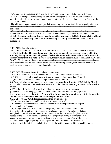Rule 58b. Section 8.7.6.2.1 **6.2.6.3** of the ASME A17.1 code is amended to read as follows: 8.7.6.2.1. A change in component parts that are interchangeable in form, fit, and function is an

alteration and shall comply with the requirements in this section as described in section 8.6.3.1 of the ASME A17.1 code.

 The addition of a component or a device that was not part of the original design is an alteration and shall conform to the requirements of section 8.7.6.2 of the ASME A17.1 code for that device or component.

 When multiple driving machines per moving walk are utilized, operating and safety devices required by section 8.7.6.2 of the ASME A17.1 code shall simultaneously control all driving machines. 6.2.6.3. **Electrical protective devices must be provided pursuant to 6.2.6.3.1 through 6.2.6.3.12 and be the manually resetting type. Automatic resetting of a safety device within these codes is prohibited.** 

R 408.7059a Periodic test tags.

 Rule 59a. Section 8.6.1.7.2 **8.10.1.1.1** of the ASME A17.1 code is amended to read as follows: 8.6.1.7.2 **8.10.1.1.1**. **The acceptance inspection must be made by an inspector employed by the authority having jurisdiction. All parts of the installation must be inspected for conformity with the requirements of this state's elevator laws, these rules, and section 8.10 of the ASME A17.1 and ASME 17.2.** An approved paper tag with the applicable code requirement or requirements and date or dates performed, and the name of the person or firm performing the test, shall **must** be installed in the machine room or machine space for all periodic tests.

R 408.7060 Three-year inspection and test requirements.

Rule 60. Section 8.6.5.15.3 is added to the ASME A17.1 code to read as follows:

8.6.5.15.3. (1) Cylinders shall **must** be tested at intervals of not more than 36 months.

(2) Three-year inspection and test requirements **are as follow**.**:**

(a) The relief valve setting **must** shall be in compliance **comply** with section 3.19.4.2 of the ASME

A17.1 code. The relief valve shall **must** be resealed if the relief valve setting is altered or if the seal is broken.

(b) Test the relief valve setting by first inching the empty car upward to engage the

plunger stop ring or to engage other suitable blocking provided and then apply pressure

 from the pump to check the setting. **A copy of test forms must be maintained on site in the machine room or space available to elevator personnel pursuant to section** 

 **8.6.1.4.1 of ASME A17.1.** Procedures for set test are as follows:

(i) Put rated load in the car and locate it at any convenient level.

 (ii) Open the disconnect switch and locate the elevation of the platform with respect to a convenient reference.

 (iii) For cylinders that are not completely exposed, after not less than 2 hours, note the position of the platform with respect to the chosen reference. For cylinders that are completely exposed, after not less than 30 minutes, note the position of the platform with respect to the chosen reference. A change in the car position during a cylinder test that cannot be accounted for by visible oil leakage or temperature change of the oil indicates a failure of some type requiring further inspections, tests, or repairs. An accessible written record of all oil levels and all oil added shall **must** be maintained in the machine room.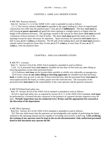#### CHAPTER 4. ASME A18.1 MODIFICATIONS

R 408.7062 Runway entrance.

Rule 62. Section 2.1.1.2 of the ASME A18.1 code is amended to read as follows:

 2.1.1.2 The runway entrance shall **must** be guarded at the upper landing by a door of unperforated construction not wider than the platform plus 1 inch**, or** (25.4 **millimeters**). The door shall **must** be self-closing **or power operated** and guard the entire opening to a height equal to or higher than the height of the platform enclosure. The openings created in the runway by these doors shall **must** provide a minimum vertical clearance of 6 feet 8 inches. The doors shall **must** guard the entire area of the openings except for space necessary for operation. Space necessary for operation shall **must** reject a ball 12 mm**, or** (0.5 in**ches**.)**,** in diameter. The lift side of the landing doors and sill shall **must** present a smooth surface located not closer than 10 mm**, or** (0.375 in**ches**.)**,** or more than 20 mm**, or** (0.75 inches.), from the platform floor.

## CHAPTER 6. ANSI A10.4 MODIFICATIONS

#### R 408.7071 Location.

Rule 71. Section 5.4.8 of the ANSI A10.4 standard is amended to read as follows:

 5.4.8. (1) A personnel hoist shall **must** be installed not less than 10 feet from any other lifting or lowering apparatus except other personnel hoists.

(2) A hoistway shall **may** not be located either partially or wholly over sidewalks or passageways.

 (3) If tower cranes **or any other lifting or lowering apparatus** are installed such that the boom**, load,** or trolley may go over or into the 10-foot restricted area, then the personnel hoist shall **must** be unoccupied anytime the boom**,** or trolley passes over the restricted area. The evacuation of the personnel hoist shall **must** be the responsibility of the crane operator and the general contractor.

R 408.7079 Rated load safety test.

Rule 79. Section 26.4.8 of the ANSI A10.4 standard is amended to read as follows:

 26.4.8 A rated load safety test, as required by section 26.2.1.1 of the ANSI A10.4 standard, shall **must**  be performed by a licensed elevator contractor in the presence of a general elevator inspector every 90 days. **Periodic inspections may be conducted every 30 days and the appropriate fees assessed at the discretion of the department.** 

R 408.7081a Operators.

Rule 81a. Section 30.3 of the ANSI A10.4 standard is amended to read as follows:

 30.3 The user shall ensure that the operators are knowledgeable and capable of performing the duties outlined in the operating manual and are capable of recording such activity in their log. **A list certifying the training of any operator must be kept in the on-site documentation. Only authorized personnel listed in that document may operate the lift.**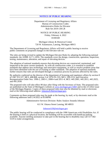## **NOTICE OF PUBLIC HEARING**

Department of Licensing and Regulatory Affairs Bureau of Construction Codes Administrative Rules for Elevator Rule Set 2019-138 LR

## NOTICE OF PUBLIC HEARING Friday, February 4, 2022 10:00AM

## Michigan Library & Historical Center 720 W. Kalamazoo, Lansing, Michigan 48915

The Department of Licensing and Regulatory Affairs will hold a public hearing to receive public comments on proposed changes to the Elevator rule set.

The rules are being revised to update the Michigan Elevator Rules by adopting the following national standards: the ASME A17.1-2016. The standards cover the design, construction, operation, inspection, testing, maintenance, alteration, and repair of elevating devices.

The adoption of national standards ensures that elevating devices are constructed, maintained, and inspected to the most current standards. As with all construction codes, it is essential to establish standards that address new technology and innovative equipment, as well as resolve problem areas that have been identified with the use of existing or older standards. The adoption of national standards further ensures that rules are developed through a consensus process by persons affected by the rules.

By authority conferred on the director of the department of licensing and regulatory affairs by section 8 of 1967 PA 227, MCL 408.808, section 3 of 1976 PA 333, MCL 338.2153, and Executive Reorganization Order Nos. 1996-2, 2003-1, 2008-4 and 2011-4, MCL 445.2001, 445.2011, 445.2025, and 445.2030.

The proposed rules will take effect 90 days after filing with the Secretary of State. The proposed rules are published on the State of Michigan's website at [www.michigan.gov/ARD](http://www.michigan.gov/ARD) and in the 2/1/2022 issue of the Michigan Register. Copies of these proposed rules may also be obtained by mail or electronic mail at the following email address: [JohnsonA39@michigan.gov.](mailto:JohnsonA39@michigan.gov)

Comments on these proposed rules may be made at the hearing, by mail, or by electronic mail at the following addresses until 2/4/2022 at 05:00PM.

Administrative Services Division- Rules Analyst Amanda Johnson

611 W. Ottawa Street Lansing, MI 48933

### [JohnsonA39@michigan.gov](mailto:JohnsonA39@michigan.gov)

The public hearing will be conducted in compliance with the 1990 Americans with Disabilities Act. If the hearing is held at a physical location, the building will be accessible with handicap parking available. Anyone needing assistance to take part in the hearing due to disability may call 517-582- 5519 to make arrangements.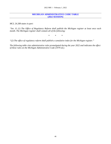#### **MICHIGAN ADMINISTRATIVE CODE TABLE (2022 SESSION)**

*MCL 24.208 states in part:* 

*"Sec. 8. (1) The Office of Regulatory Reform shall publish the Michigan register at least once each month. The Michigan register shall contain all of the following:* 

*\* \* \** 

*"(2) The office of regulatory reform shall publish a cumulative index for the Michigan register."* 

*The following table cites administrative rules promulgated during the year 2022 and indicates the effect of these rules on the Michigan Administrative Code (1979 ed.).*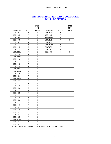| MICHIGAN ADMINISTRATIVE CODE TABLE |
|------------------------------------|
| <b>(2022 RULE FILINGS)</b>         |

|           |              | 2022<br>MR   |           |              | 2022<br>MR   |
|-----------|--------------|--------------|-----------|--------------|--------------|
| R Number  | Action       | Issue        | R Number  | Action       | Issue        |
| 338.3101  | *            | $\mathbf{1}$ | 338.3161a | *            | $\mathbf{1}$ |
| 338.3102  | *            | $\mathbf{1}$ | 338.3162  | ∗            | 1            |
| 338.3104  | $\ast$       | 1            | 338.3162a | *            | 1            |
| 338.3108  | $\ast$       | 1            | 338.3162b | *            | $\mathbf{1}$ |
| 338.3109  | R            | $\mathbf{1}$ | 338.3162c | *            | $\mathbf{1}$ |
| 338.3111  | $\ast$       | $\mathbf{1}$ | 338.3162d | *            | $\mathbf{1}$ |
| 338.3112  | $\mathbf R$  | $\mathbf{1}$ | 338.3162e | $\mathbb{R}$ | 1            |
| 338.3113  | $\mathbb{R}$ | 1            | 338.3163  | *            | $\mathbf{1}$ |
| 338.3113a | R            | $\mathbf{1}$ | 338.3181  | R            | $\mathbf{1}$ |
| 338.3114  | $\mathbb{R}$ | 1            |           |              |              |
| 338.3114a | $\mathbf R$  | 1            |           |              |              |
| 338.3116  | $\mathbb{R}$ | $\mathbf{1}$ |           |              |              |
| 338.3117  | $\mathbf R$  | $\mathbf{1}$ |           |              |              |
| 338.3118  | $\mathbf R$  | $\mathbf{1}$ |           |              |              |
| 338.3119  | $\mathbb R$  | 1            |           |              |              |
| 338.3119a | $\mathbb{R}$ | $\mathbf{1}$ |           |              |              |
| 338.3119b | $\mathbb{R}$ | $\mathbf{1}$ |           |              |              |
| 338.3120  | $\mathbb{R}$ | $\mathbf{1}$ |           |              |              |
| 338.3121  | $\mathbf R$  | 1            |           |              |              |
| 338.3121a | $\mathbb{R}$ | 1            |           |              |              |
| 338.3122  | $\mathbf R$  | $\mathbf{1}$ |           |              |              |
| 338.3123  | $\mathbf R$  | $\mathbf{1}$ |           |              |              |
| 338.3125  | R            | $\mathbf{1}$ |           |              |              |
| 338.3126  | $\mathbf R$  | $\mathbf{1}$ |           |              |              |
| 338.3127  | $\mathbf R$  | $\mathbf{1}$ |           |              |              |
| 338.3129  | $\mathbb{R}$ | $\mathbf{1}$ |           |              |              |
| 338.3132  | $\ast$       | 1            |           |              |              |
| 338.3135  | $\ast$       | 1            |           |              |              |
| 338.3136  | R            | $\mathbf{1}$ |           |              |              |
| 338.3137  | *            | $\mathbf{1}$ |           |              |              |
| 338.3141  | *            | $\mathbf{1}$ |           |              |              |
| 338.3143  | *            | 1            |           |              |              |
| 338.3145  | *            | $\mathbf{1}$ |           |              |              |
| 338.3151  | $\ast$       | $\,1$        |           |              |              |
| 338.3152  | R            | 1            |           |              |              |
| 338.3153  | $\ast$       | $\mathbf{1}$ |           |              |              |
| 338.3153a | *            | $\,1$        |           |              |              |
| 338.3154  | *            | $\mathbf{1}$ |           |              |              |
| 338.3161  | $\ast$       | $\mathbf{1}$ |           |              |              |

(**\*** Amendment to Rule, **A** Added Rule, **N** New Rule, **R** Rescinded Rule)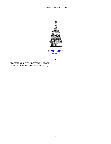

# **CUMULATIVE INDEX**

# **L**

# **LICENSING & REGULATORY AFFAIRS**

Pharmacy - Controlled Substances (2022-1)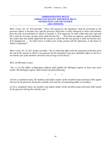#### **ADMINISTRATIVE RULES ENROLLED SENATE AND HOUSE BILLS SIGNED INTO LAW OR VETOED (2021 SESSION)**

*Mich. Const. Art. IV, §33 provides: "Every bill passed by the legislature shall be presented to the governor before it becomes law, and the governor shall have 14 days measured in hours and minutes from the time of presentation in which to consider it. If he approves, he shall within that time sign and file it with the secretary of state and it shall become law . . . If he does not approve, and the legislature has within that time finally adjourned the session at which the bill was passed, it shall not become law. If he disapproves . . . he shall return it within such 14-day period with his objections, to the house in which it originated."* 

*Mich. Const. Art. IV, §27, further provides: "No act shall take effect until the expiration of 90 days from the end of the session at which it was passed, but the legislature may give immediate effect to acts by a two-thirds vote of the members elected to and serving in each house."* 

*MCL 24.208 states in part:* 

*"Sec. 8. (1) The Office of Regulatory Reform shall publish the Michigan register at least once each month. The Michigan register shall contain all of the following:* 

*\* \* \** 

 *(b) On a cumulative basis, the numbers and subject matter of the enrolled senate and house bills signed into law by the governor during the calendar year and the corresponding public act numbers.* 

*(c) On a cumulative basis, the numbers and subject matter of the enrolled senate and house bills vetoed by the governor during the calendar year."*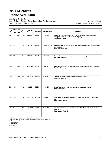# **2021 Michigan Public Acts Table**

Legislative Service Bureau Legal Division, Statutory Compiling and Law Publications Unit 124 W. Allegan, Lansing, MI 48909

January 25, 2022 Compiled through PA 168 of 2021

| PA        | <b>ENROLLED</b> |           | IE*        |           | Governor          |                       |                                                                                                                                                   |
|-----------|-----------------|-----------|------------|-----------|-------------------|-----------------------|---------------------------------------------------------------------------------------------------------------------------------------------------|
| No.       | H <sub>B</sub>  | <b>SB</b> | Yes/No     | Approved  | <b>Filed Date</b> | <b>Effective Date</b> | <b>SUBJECT</b>                                                                                                                                    |
| 0001      |                 | 0030      | <b>Yes</b> | 3/2/2021  | 3/2/2021          | 3/2/2021              | Highways; memorial; portion of I-94 in Wayne County, designate as the<br>"Firefighter Coleman A Tate Memorial Highway".<br>(Sen. Adam J. Hollier) |
| 0002 4047 |                 |           | Yes        | 3/9/2021  | 3/9/2021          | 3/9/2021<br>$\ddot{}$ | Appropriations; supplemental; supplemental appropriations; provide for fiscal<br>year 2020-2021.<br>(Rep. Timothy Beson)                          |
|           | 0003 4048       |           | Yes        | 3/9/2021  | 3/9/2021          | 3/9/2021<br>$\ddot{}$ | School aid; supplemental; supplemental school funding; provide for.<br>(Rep. Brad Paquette)                                                       |
| 0004      |                 | 0186      | Yes        | 3/24/2021 | 3/24/2021         | 3/24/2021             | Agriculture; industrial hemp; regulations for growing industrial hemp; modify.<br>(Sen. Dan Lauwers)                                              |
| 0005      |                 | 0100      | Yes        | 3/26/2021 | 3/26/2021         | 3/26/2021             | Children; child care; definition of foster care; provide for.<br>(Sen. John Bizon, M.D.)                                                          |
|           | 0006 4126       |           | Yes        | 4/8/2021  | 4/8/2021          | 4/8/2021              | <b>Natural resources</b> ; hunting, pheasant stamp program; modify.<br>(Rep. Gary Howell)                                                         |
| 0007      | 4569            |           | Yes        | 4/22/2021 | 4/22/2021         | 4/22/2021             | Individual income tax; city; extension of 2020 city income tax filing deadline;<br>allow.<br>(Rep. Andrew Beeler)                                 |
|           | 0008 4571       |           | Yes        | 4/22/2021 | 4/22/2021         | 4/22/2021             | Individual income tax; returns; extension of filing deadline for 2020 income<br>taxes; allow.<br>(Rep. Tenisha Yancey)                            |

\* - I.E. meansLegislature voted to give the Act immediate effect.

\*\* - Act takeseffect on the 91st day after sine die adjournment of the Legislature. \*\*\* - See Act for applicable effective date.

+ - Line item veto.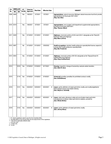| PA   | <b>ENROLLED</b> |           | I.E*      | Governor  | <b>Filed Date</b> | <b>Effective Date</b> |   | <b>SUBJECT</b>                                                                                                                                                                |
|------|-----------------|-----------|-----------|-----------|-------------------|-----------------------|---|-------------------------------------------------------------------------------------------------------------------------------------------------------------------------------|
| No.  | <b>HB</b>       | <b>SB</b> | Yes/No    | Approved  |                   |                       |   |                                                                                                                                                                               |
| 0009 | 4469            |           | Yes       | 5/6/2021  | 5/7/2021          | 5/7/2021              |   | Appropriations; natural resources; Mchigan natural resources trust fund; provide<br>appropriations for fiscal year 2021-2022.<br>(Rep. Sue Allor)                             |
|      | 0010 4019       |           | Yes       | 5/6/2021  | 5/7/2021          | 5/7/2021              |   | Appropriations; zero budget; multi-department supplemental appropriations;<br>provide for fiscal year 2020-2021.<br>(Rep. Thomas Albert)                                      |
|      | 0011 4429       |           | Yes       | 5/13/2021 | 5/13/2021         | 5/13/2021             |   | Highways; memorial; portion of US-2 and US-41; designate as the "Darryl M<br>Rantanen Memorial Highway".<br>(Rep. Beau LaFave)                                                |
|      | 0012 4067       |           | <b>No</b> | 5/13/2021 | 5/13/2021         | 3/30/2022             |   | Health occupations; dentists; health profession specialty field license; expand to<br>include other health profession specialty fields.<br>(Rep. Ben Frederick)               |
|      | 0013 4053       |           | Yes       | 5/13/2021 | 5/13/2021         | 5/13/2021             |   | Highways; memorial; portion of M-120; designate as the "Deputy Ernest W.<br>Heikkila Memorial Highway".<br>(Rep. Greg VanWoerkom)                                             |
| 0014 |                 | 0016      | Yes       | 5/19/2021 | 5/19/2021         | 8/17/2021             |   | Housing; inspection; change of ownership; exclude certain transfers.<br>(Sen. Dale W. Zorn)                                                                                   |
| 0015 |                 | 0118      | Yes       | 5/19/2021 | 5/19/2021         | 5/19/2021             |   | School aid; penalties; penalties for prohibited conduct; modify.<br>(Sen. Ed McBroom)                                                                                         |
| 0016 |                 | 0141      | Yes       | 5/24/2021 | 5/25/2021         | 8/23/2021             | # | Liquor; spirits; definition of mixed spirit drink; modify, and modify eligibility for<br>direct shipper license and retailer delivery.<br>(Sen. Wayne A. Schmidt)             |
| 0017 |                 | 0142      | Yes       | 5/24/2021 | 5/25/2021         | 8/23/2021             | # | Liquor; retail sales; allowing in state and out-of-state mixed spirit drink<br>manufacturers to deliver mixed spirit drink to retailers; provide for.<br>(Sen. Winnie Brinks) |
| 0018 |                 | 0143      | Yes       | 5/24/2021 | 5/25/2021         | 8/23/2021             | # | Liquor; spirits; definition of mixed spirit drink; modify.<br>(Sen. Jeremy Moss)                                                                                              |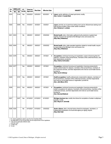| <b>PA</b> |           | <b>ENROLLED</b> | IE*    | Governor  |                   |                       |   |                                                                                                                                                                                                                                                                                         |
|-----------|-----------|-----------------|--------|-----------|-------------------|-----------------------|---|-----------------------------------------------------------------------------------------------------------------------------------------------------------------------------------------------------------------------------------------------------------------------------------------|
| No.       | <b>HB</b> | <b>SB</b>       | Yes/No | Approved  | <b>Filed Date</b> | <b>Effective Date</b> |   | <b>SUBJECT</b>                                                                                                                                                                                                                                                                          |
| 0019      |           | 0144            | Yes    | 5/24/2021 | 5/25/2021         | 8/23/2021             | # | <b>Liquor</b> ; spirits; definition of mixed spirit drink; modify.<br>(Sen. Curtis S. VanderWall)                                                                                                                                                                                       |
| 0020      |           | 0049            | Yes    | 6/3/2021  | 6/3/2021          | 6/3/2021              |   | <b>Liquor</b> ; permits; an on-premises tasting room and an off-premises tasting room<br>held at same location; allow under certain conditions.<br>(Sen. Kimberly A. LaSata)                                                                                                            |
| 0021      | 4043      |                 | No     | 6/8/2021  | 6/9/2021          | 3/30/2022             |   | <b>Mental health</b> ; other, information gathered by the electronic inpatient bed<br>registry, require to be reported to the Mchigan crisis and access line.<br>(Rep. Mary Whiteford)                                                                                                  |
|           | 0022 4044 |                 | No     | 6/8/2021  | 6/9/2021          | 3/30/2022             |   | <b>Mental health</b> ; other, state-operated registries related to mental health; require<br>to report data to the Mchigan crisis and access line.<br>(Rep. Mary Whiteford)                                                                                                             |
| 0023      | 4376      |                 | Yes    | 6/9/2021  | 6/9/2021          | 9/7/2021              | # | Occupations; individual licensing and registration; waiver of licensing fees for<br>veterans, members of the armed forces, members of the uniformed forces, and<br>their dependents; provide for.<br>(Rep. Andrea Schroeder)                                                            |
| 0024 4377 |           |                 | Yes    | 6/9/2021  | 6/9/2021          | 9/7/2021              |   | Occupations; individual licensing and registration; licensing reciprocity for<br>certain skilled trades for veterans, members of the armed forces, members of<br>the uniformed services, and their dependents who hold an out-of-state license;<br>provide for.<br>(Rep. Sarah Anthony) |
| 0025      |           | 0157            | Yes    | 6/9/2021  | 6/9/2021          | 9/7/2021              |   | Health occupations; health professionals; reciprocity for veterans, members of<br>the armed forces, members of the uniformed services, and their dependents<br>who hold an out-of-state license or registration; provide for.<br>(Sen. John Bizon, M.D.)                                |
| 0026      |           | 0312            | Yes    | 6/9/2021  | 6/9/2021          | 9/7/2021              | # | Occupations; individual licensing and registration; licensing reciprocity for<br>certain occupations for veterans, members of the armed forces, members of the<br>uniformed services, and their dependents who hold an out-of-state license;<br>provide for.<br>(Sen. Marshall Bullock) |
| 0027      |           | 0437            | Yes    | 6/15/2021 | 6/15/2021         | 6/15/2021             |   | Michigan business tax; credits; time frame for completion of certain multiphase<br>projects; modify.<br>(Sen. Wayne A. Schmidt)                                                                                                                                                         |
|           | 0028 4325 |                 | No     | 6/15/2021 | 6/15/2021         | 3/30/2022             |   | Senior citizens; other, criminal history check for employees, volunteers, or<br>independent contractors of a local area agency on aging; require.<br>(Rep. Matt Hall)                                                                                                                   |

+ - Line item veto. ++ - Pocket veto. # - Tie bar.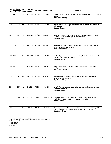| <b>PA</b> | <b>ENROLLED</b> |           | IE*    | Governor  | <b>Filed Date</b> | <b>Effective Date</b> | <b>SUBJECT</b>                                                                                                                                                                        |
|-----------|-----------------|-----------|--------|-----------|-------------------|-----------------------|---------------------------------------------------------------------------------------------------------------------------------------------------------------------------------------|
| No.       | <b>HB</b>       | <b>SB</b> | Yes/No | Approved  |                   |                       |                                                                                                                                                                                       |
| 0029      | 4445            |           | No     | 6/15/2021 | 6/15/2021         | 3/30/2022             | Liquor; licenses; minimum number of sporting events for a motor sports license;<br>reduce.<br>(Rep. Sarah Lightner)                                                                   |
| 0030      |                 | 0037      | Yes    | 6/23/2021 | 6/23/2021         | 6/23/2021             | Appropriations; zero budget; supplemental appropriations; provide for fiscal<br>year 2020-2021.<br>(Sen. Jim Stamas)                                                                  |
| 0031      |                 | 0010      | Yes    | 6/24/2021 | 6/24/2021         | 6/24/2021             | <b>Records</b> ; veterans; veteran services boards; allow to hold closed sessions<br>when interviewing veterans' applications for benefits.<br>(Sen. Lana Theis)                      |
|           | 0032 4040       |           | No     | 6/24/2021 | 6/24/2021         | 3/30/2022             | Education; occupational schools; occupational school regulations; exempt<br>certain apprenticeship programs.<br>(Rep. Ben Frederick)                                                  |
| 0033      | 4050            |           | Yes    | 6/24/2021 | 6/24/2021         | 6/24/2021             | Civil rights; public records; certain data relating to location of game; exempt from<br>freedom of information act requests.<br>(Rep. John Cherry)                                    |
|           | 0034 4122       |           | Yes    | 6/24/2021 | 6/24/2021         | 6/24/2021             | Military affairs; other, distribution structure of the county veteran service fund;<br>modify.<br>(Rep. Annette Glenn)                                                                |
| 0035      |                 | 0440      | Yes    | 6/24/2021 | 6/24/2021         | 6/24/2021             | Health facilities; certificate of need; certain PET scanners; exempt from<br>certificate of need regulations.<br>(Sen. Winnie Brinks)                                                 |
| 0036      |                 | 0155      | Yes    | 7/1/2021  | 7/1/2021          | 7/1/2021              | Health; pharmaceuticals; emergency dispensing of insulin; provide for under<br>certain circumstances.<br>(Sen. Kevin Daley)                                                           |
| 0037      |                 | 0156      | Yes    | 7/1/2021  | 7/1/2021          | 7/1/2021<br>#         | Insurance; health insurers; coverage for emergency refill of prescription<br>medication of insulin for up to a 30-day supply, provide for.<br>(Sen. Kevin Daley)                      |
| 0038      |                 | 0256      | Yes    | 7/1/2021  | 7/1/2021          | 7/1/2021              | Sales tax; distribution; transfer of funds from the comprehensive transportation<br>fund into the transportation administration collection fund; provide for.<br>(Sen. Roger Victory) |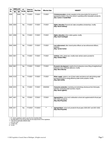| PA        |           | <b>ENROLLED</b> | I.E*   | Governor  | <b>Filed Date</b> |                       |                                                                                                                                                                                                          |
|-----------|-----------|-----------------|--------|-----------|-------------------|-----------------------|----------------------------------------------------------------------------------------------------------------------------------------------------------------------------------------------------------|
| No.       | <b>HB</b> | <b>SB</b>       | Yes/No | Approved  |                   | <b>Effective Date</b> | <b>SUBJECT</b>                                                                                                                                                                                           |
| 0039      |           | 0438            | Yes    | 7/1/2021  | 7/1/2021          | 7/1/2021              | <b>Criminal procedure</b> ; arrests; exception to the presumption for issuance of<br>appearance tickets in lieu of an arrest in operating while intoxicated; provide for.<br>(Sen. Curtis S. VanderWall) |
|           | 0040 4055 |                 | Yes    | 7/1/2021  | 7/1/2021          | 7/1/2021              | Higher education; financial aid; state competitive scholarships; modify.<br>(Rep. Sarah Anthony)                                                                                                         |
|           | 0041 4056 |                 | Yes    | 7/1/2021  | 7/1/2021          | 7/1/2021              | <b>Higher education</b> ; tuition; tuition grants; modify.<br>(Rep. Scott VanSingel)                                                                                                                     |
|           | 0042 4540 |                 | Yes    | 7/1/2021  | 7/1/2021          | 7/1/2021              | Law enforcement; other, transit police officers as law enforcement officers;<br>establish.<br>(Rep. Tyrone Carter)                                                                                       |
| 0043 4541 |           |                 | Yes    | 7/1/2021  | 7/1/2021          | 7/1/2021              | Vehicles; other, street cars; modify motor vehicle code to provide for.<br>(Rep. Graham Filler)                                                                                                          |
| 0044 4641 |           |                 | Yes    | 7/1/2021  | 7/1/2021          | 7/1/2021              | Economic development; neighborhood enterprise zones; filing of neighborhood<br>enterprise zone certificate extension; modify.<br>(Rep. Steve Marino)                                                     |
|           | 0045 4123 |                 | Yes    | 7/1/2021  | 7/1/2021          | 7/1/2021              | Water supply; systems; use of clean water assistance and safe drinking water<br>assistance funds for energy efficiency water works projects; modify.<br>(Rep. Beth Griffin)                              |
|           | 0046 4015 |                 | No     | 7/1/2021  | 7/1/2021          | 3/30/2022             | <b>Consumer protection</b> ; marketing and advertising; disclosure from third-party<br>websites conducting state business; require.<br>(Rep. Sarah Lightner)                                             |
|           | 0047 4421 |                 | Yes    | 7/7/2021  | 7/7/2021          | 7/7/2021              | Appropriations; school aid; multisection school aid supplemental for fiscal year<br>2021-2022; provide for.<br>(Rep. Brad Paquette)                                                                      |
|           | 0048 4411 |                 | Yes    | 7/13/2021 | 7/13/2021         | $***$<br>$\ddot{}$    | Appropriations; school aid; provide for fiscal years 2020-2021 and 2021-2022.<br>(Rep. Brad Paquette)                                                                                                    |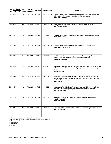| PA        | <b>ENROLLED</b> |           | $LE^*$ | Governor  | <b>Filed Date</b> | <b>Effective Date</b> | <b>SUBJECT</b>                                                                                                                                                                                                           |
|-----------|-----------------|-----------|--------|-----------|-------------------|-----------------------|--------------------------------------------------------------------------------------------------------------------------------------------------------------------------------------------------------------------------|
| No.       | <b>HB</b>       | <b>SB</b> | Yes/No | Approved  |                   |                       |                                                                                                                                                                                                                          |
| 0049      | 4201            |           | Yes    | 7/13/2021 | 7/13/2021         | 10/11/2021<br>#       | Transportation; school vehicles; penalties for entering a school bus without<br>authorization or impeding or obstructing a school bus; create.<br>(Rep. Jack O'Malley)                                                   |
| 0050 4202 |                 |           | Yes    | 7/13/2021 | 7/13/2021         | 10/11/2021<br>#       | Transportation; school vehicles; school bus stop-arm cameras; allow.<br>(Rep. Tyrone Carter)                                                                                                                             |
|           | 0051 4203       |           | Yes    | 7/13/2021 | 7/13/2021         | 10/11/2021<br>#       | Transportation; school vehicles; allowable painting of school buses; modify.<br>(Rep. Jewell Jones)                                                                                                                      |
| 0052 4204 |                 |           | Yes    | 7/13/2021 | 7/13/2021         | 10/11/2021<br>#       | Transportation; school vehicles; school bus stop-arm cameras; allow.<br>(Rep. Greg VanWoerkom)                                                                                                                           |
|           | 0053 4359       |           | Yes    | 7/13/2021 | 7/13/2021         | 10/11/2021            | Health occupations; nurses; scope of practice of registered professional nurse<br>holding a specialty certification as a nurse anesthetist; modify.<br>(Rep. Mary Whiteford)                                             |
|           | 0054 4603       |           | Yes    | 7/13/2021 | 7/13/2021         | 7/13/2021             | Civil rights; open meetings; circumstances permitting public meetings of certain<br>public bodies to be held electronically by telephonic or video conferencing;<br>modify.<br>(Rep. Joe Bellino)                        |
|           | 0055 4516       |           | Yes    | 7/13/2021 | 7/13/2021         | 10/11/2021            | Marihuana; liability; sale of marihuana to an individual who is younger than 21<br>years of age or visibly intoxicated; prohibit, and create cause of action for harm<br>that the individual causes.<br>(Rep. Jim Lilly) |
| 0056 4517 |                 |           | Yes    | 7/13/2021 | 7/13/2021         | 10/11/2021            | Marihuana; other, definitions of marihuana and industrial hemp; modify, and<br>require the marijuana regulatory agency to promulgate rules regarding.<br>(Rep. Yousef Rabhi)                                             |
|           | 0057 4740       |           | Yes    | 7/13/2021 | 7/13/2021         | 10/11/2021            | Marihuana; other, certain definitions in the medical marihuana facilities<br>licensing act; modify.<br>(Rep. Pat Outman)                                                                                                 |
| 0058 4741 |                 |           | Yes    | 7/13/2021 | 7/13/2021         | 10/11/2021            | Marihuana; other, certain definitions in the industrial hemp growers act; modify.<br>(Rep. TC Clements)                                                                                                                  |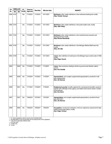| <b>PA</b> | <b>ENROLLED</b> |           | IE*    | Governor  |                   |                       |                                                                                                                                                                                                                |
|-----------|-----------------|-----------|--------|-----------|-------------------|-----------------------|----------------------------------------------------------------------------------------------------------------------------------------------------------------------------------------------------------------|
| No.       | <b>HB</b>       | <b>SB</b> | Yes/No | Approved  | <b>Filed Date</b> | <b>Effective Date</b> | <b>SUBJECT</b>                                                                                                                                                                                                 |
| 0059      | 4742            |           | Yes    | 7/13/2021 | 7/13/2021         | 10/11/2021            | Marihuana; other, certain definitions in the marihuana tracking act; modify.<br>(Rep. Tenisha Yancey)                                                                                                          |
|           | 0060 4743       |           | Yes    | 7/13/2021 | 7/13/2021         | 10/11/2021            | Marihuana; other, certain definitions in the public health code; modify.<br>(Rep. Julie Calley)                                                                                                                |
|           | 0061 4744       |           | Yes    | 7/13/2021 | 7/13/2021         | 10/11/2021            | Marihuana; other, certain definitions in the industrial hemp research and<br>development act; modify.<br>(Rep. Richard Steenland)                                                                              |
|           | 0062 4745       |           | Yes    | 7/13/2021 | 7/13/2021         | 10/11/2021            | Marihuana; other, certain definitions in the Mchigan Medical Marihuana Act;<br>modify.<br>(Rep. Jim Lilly)                                                                                                     |
| 0063      | 4746            |           | Yes    | 7/13/2021 | 7/13/2021         | 10/11/2021            | Liquor; other, definition of marihuana in the Michigan liquor control code of 1998;<br>modify.<br>(Rep. Roger Hauck)                                                                                           |
| 0064      |                 | 0559      | Yes    | 7/13/2021 | 7/13/2021         | 7/13/2021             | Liquor; other, provisions relating to drinks to go and social districts; extend<br>sunset.<br>(Sen. Aric Nesbitt)                                                                                              |
| 0065      |                 | 0028      | Yes    | 7/15/2021 | 7/15/2021         | 7/15/2021             | Appropriations; zero budget, supplemental appropriations; provide for multi-<br>year supplemental.<br>(Sen. Jim Stamas)                                                                                        |
| 0066      |                 | 0501      | Yes    | 7/17/2021 | 7/19/2021         | 7/19/2021             | <b>Employment security</b> ; benefits; applicant for unemployment benefits; require to<br>register with a Michigan works agency, and extend work search waiver in certain<br>circumstances.<br>(Sen. Ken Horn) |
| 0067      |                 | 0027      | Yes    | 7/26/2021 | 7/27/2021         | 7/27/2021             | Appropriations; zero budget; supplemental appropriations; provide for fiscal<br>year 2020-2021.<br>(Sen. Jim Stamas)                                                                                           |
| 0068      |                 | 0060      | Yes    | 7/29/2021 | 7/29/2021         | 7/29/2021             | Occupations; mechanical contractors; minimum experience requirement to take<br>written license examination; modify.<br>(Sen. Roger Victory)                                                                    |

++ - Pocket veto. # - Tie bar.

© 2022 Legislative Council, State of Michigan. All rights reserved. Page 7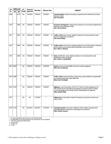| PA        |        | <b>ENROLLED</b> | $LE^*$ | Governor  |                   |                       |                                                                                                                                                                                                                                                     |
|-----------|--------|-----------------|--------|-----------|-------------------|-----------------------|-----------------------------------------------------------------------------------------------------------------------------------------------------------------------------------------------------------------------------------------------------|
| No.       | $H\!B$ | <b>SB</b>       | Yes/No | Approved  | <b>Filed Date</b> | <b>Effective Date</b> | <b>SUBJECT</b>                                                                                                                                                                                                                                      |
| 0069      |        | 0372            | Yes    | 7/29/2021 | 7/29/2021         | 7/29/2021             | <b>Communications</b> ; telecommunications; requirement for distribution of printed<br>directory, modify.<br>(Sen. Ken Horn)                                                                                                                        |
| 0070      |        | 0459            | Yes    | 7/29/2021 | 7/29/2021         | 7/29/2021             | Economic development; neighborhood enterprise zones; filing of neighborhood<br>enterprise zone certificate; modify.<br>(Sen. Jeremy Moss)                                                                                                           |
| 0071      |        | 0507            | Yes    | 7/29/2021 | 7/29/2021         | 7/29/2021<br>#        | <b>Traffic control</b> ; driver license; additional extension of renewal date for driver<br>license or registration; provide for.<br>(Sen. Kevin Daley)                                                                                             |
| 0072      |        | 0508            | Yes    | 7/29/2021 | 7/29/2021         | 7/29/2021<br>#        | Traffic control; driver license; additional extension of renewal date for enhanced<br>driver licenses and enhanced state identification cards; provide for.<br>(Sen. Ruth A. Johnson)                                                               |
| 0073      |        | 0509            | Yes    | 7/29/2021 | 7/29/2021         | 7/29/2021<br>#        | State; identification cards; additional extension of renewal date for state<br>identification cards; provide for.<br>(Sen. Curtis S. VanderWall)                                                                                                    |
| 0074 4656 |        |                 | No     | 7/29/2021 | 7/29/2021         | 3/30/2022             | Courts; circuit court; twenty-fifth circuit court; restore judgeship.<br>(Rep. Sara Cambensy)                                                                                                                                                       |
| 0075 4980 |        |                 | Yes    | 7/29/2021 | 7/29/2021         | 7/29/2021             | Traffic control; speed restrictions; drag racing; make prohibition of inapplicable<br>to scramble area at Silver Lake State Park.<br>(Rep. Scott VanSingel)                                                                                         |
| 0076 4735 |        |                 | Yes    | 7/29/2021 | 7/29/2021         | 7/29/2021             | Highways; memorial; portion of US-127 in Clinton County, designate as the<br>"PFC Ronald James Fitch Memorial Highway" and portion of M-10 in Eaton<br>County, designate as the "Ensign Francis Flaherty Memorial Highway".<br>(Rep. Graham Filler) |
| 0077      |        |                 | No     | No        | 7/15/2021         | $***$                 | Initiated Law; proclamation of state of emergency by governor; powers and<br>duties; repeal.;                                                                                                                                                       |
| 0078 4219 |        |                 | Yes    | 8/23/2021 | 8/23/2021         | 2/19/2022<br>#        | Criminal procedure; expunction; definition of first violation operating while<br>intoxicated offense for purposes of expungement; provide for.<br>(Rep. Tenisha Yancey)                                                                             |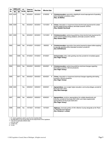| PA        |           | <b>ENROLLED</b> | $LE^*$ | Governor  | <b>Filed Date</b> | <b>Effective Date</b> |           |                                                                                                                                                                                                                 |
|-----------|-----------|-----------------|--------|-----------|-------------------|-----------------------|-----------|-----------------------------------------------------------------------------------------------------------------------------------------------------------------------------------------------------------------|
| No.       | <b>HB</b> | <b>SB</b>       | Yes/No | Approved  |                   |                       |           | <b>SUBJECT</b>                                                                                                                                                                                                  |
| 0079      | 4220      |                 | Yes    | 8/23/2021 | 8/23/2021         | 2/19/2022             | #         | Criminal procedure; expunction; eligibility for record expungement of operating<br>while intoxicated convictions; allow.<br>(Rep. Joe Bellino)                                                                  |
|           | 0080 4308 |                 | Yes    | 8/23/2021 | 8/23/2021         | 11/21/2021            | #         | Crimes; intoxication or impairment; blood alcohol level requirement for certain<br>alcohol-related driving violations; eliminate sunset for .08 limit.<br>(Rep. Abdullah Hammoud)                               |
|           | 0081 4309 |                 | Yes    | 8/23/2021 | 8/23/2021         | 11/21/2021            | #         | Criminal procedure; sentencing guidelines; blood alcohol level requirement for<br>certain alcohol-related driving violations; eliminate sunset for .08 limit.<br>(Rep. Graham Filler)                           |
| 0082      |           | 0400            | Yes    | 9/10/2021 | 9/10/2021         | 3/9/2022              | #         | Criminal procedure; expunction; time period required to elapse before applying<br>to expunge operating while intoxicated conviction; provide for.<br>(Sen. Ed McBroom)                                          |
| 0083      |           | 0408            | Yes    | 9/10/2021 | 9/10/2021         | 9/10/2021             |           | Civil procedure; other, order granting new trial; provide for immediate appeal.<br>(Sen. Roger Victory)                                                                                                         |
| 0084      |           | 0616            | Yes    | 9/24/2021 | 9/24/2021         | 9/24/2021             | #         | Criminal procedure; sentencing guidelines; technical changes regarding<br>eliminating sunset for .08 limit; provide for.<br>(Sen. Roger Victory)                                                                |
| 0085      |           | 0617            | Yes    | 9/24/2021 | 9/24/2021         | 9/24/2021             | #         | <b>Crimes</b> ; intoxication or impairment; technical changes regarding eliminating<br>sunset for .08 limit; provide for.<br>(Sen. Roger Victory)                                                               |
| 0086 4400 |           |                 | Yes    | 9/29/2021 | 9/29/2021         | 9/29/2021             | $\ddot{}$ | <b>Appropriations:</b> zero budget, higher education; community colleges; provide for<br>fiscal year 2021-2022.<br>(Rep. Mark Huizenga)                                                                         |
| 0087      |           | 0082            | Yes    | 9/29/2021 | 9/29/2021         | 9/29/2021             | $\ddot{}$ | Appropriations; omnibus; appropriations for multiple departments and<br>branches; provide for fiscal year 2021-2022, and make supplemental<br>appropriations for fiscal year 2020-2021.<br>(Sen. Roger Victory) |
| 0088      |           | 0048            | Yes    | 10/7/2021 | 10/7/2021         | 10/7/2021             |           | Highways; memorial; portion of I-94 in Berrien County, designate as the "Kevin<br>D. White Memorial Highway".<br>(Sen. Kimberly A. LaSata)                                                                      |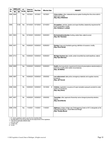| PA   |           | <b>ENROLLED</b> | I.E*      | Governor   | <b>Filed Date</b> | <b>Effective Date</b> |                                                                                                                                                           |
|------|-----------|-----------------|-----------|------------|-------------------|-----------------------|-----------------------------------------------------------------------------------------------------------------------------------------------------------|
| No.  | <b>HB</b> | <b>SB</b>       | Yes/No    | Approved   |                   |                       | <b>SUBJECT</b>                                                                                                                                            |
| 0089 | 5094      |                 | Yes       | 10/7/2021  | 10/7/2021         | 10/7/2021             | Crime victims; other, statewide trauma system funding from the crime victim's<br>rights fund; modify.<br>(Rep. Mary Whiteford)                            |
| 0090 |           | 0128            | Yes       | 10/14/2021 | 10/15/2021        | 12/14/2021            | Occupations; vehicles, dealers and repair facilities; dealership requirement for<br>hours of operation; modify.<br>(Sen. Kimberly A. LaSata)              |
|      | 0091 5003 |                 | Yes       | 10/19/2021 | 10/20/2021        | 10/20/2021            | Environmental protection; funding; certain fees; extend sunset.<br>(Rep. Shri Thanedar)                                                                   |
|      | 0092 4431 |                 | Yes       | 10/29/2021 | 10/29/2021        | 10/29/2021            | Gaming; bingo and charitable gaming; definition of occasion; modify.<br>(Rep. Kevin Hertel)                                                               |
|      | 0093 4712 |                 | Yes       | 10/29/2021 | 10/29/2021        | 10/29/2021            | Michigan business tax; credits; certain brownfield tax credit deadlines; extend.<br>(Rep. Ryan Berman)                                                    |
| 0094 | 4659      |                 | Yes       | 10/29/2021 | 10/29/2021        | 10/29/2021            | Health; pharmaceuticals; requirement to transmit prescriptions electronically to a<br>pharmacy, modify under certain circumstances.<br>(Rep. Joe Bellino) |
|      | 0095 4087 |                 | No        | 10/29/2021 | 10/29/2021        | 3/30/2022             | Law enforcement; state police; emergency materials and supplies reserve;<br>provide for.<br>(Rep. Jeff Yaroch)                                            |
|      | 0096 4026 |                 | No        | 10/29/2021 | 10/29/2021        | 10/1/2022<br>#        | Vehicles; registration; issuance of 2-year recreation passport; provide for under<br>certain circumstances.<br>(Rep. Gary Eisen)                          |
|      | 0097 4637 |                 | <b>No</b> | 10/29/2021 | 10/29/2021        | 3/30/2022             | Townships; other, approval of township name change by township electors;<br>require.<br>(Rep. David Martin)                                               |
|      | 0098 4700 |                 | Yes       | 11/4/2021  | 11/4/2021         | 11/4/2021             | Highways; bridges; bridge over Cheboyganing Creek on M-13; designate as the<br>"Sergeant Kristopher J. Gould Memorial Bridge".<br>(Rep. Timothy Beson)    |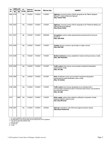| PA        | <b>ENROLLED</b> |           | I.E*      | Governor  |                   |                       |                                                                                                                                                                                                    |
|-----------|-----------------|-----------|-----------|-----------|-------------------|-----------------------|----------------------------------------------------------------------------------------------------------------------------------------------------------------------------------------------------|
| No.       | H <sub>B</sub>  | <b>SB</b> | Yes/No    | Approved  | <b>Filed Date</b> | <b>Effective Date</b> | <b>SUBJECT</b>                                                                                                                                                                                     |
|           | 0099 4739       |           | Yes       | 11/4/2021 | 11/4/2021         | 11/4/2021             | Highways; memorial; portion of M-49; designate as the "Marine Sergeant<br>Mchael P. Hodshire Memorial Highway".<br>(Rep. Andrew Fink)                                                              |
| 0100 4832 |                 |           | Yes       | 11/4/2021 | 11/4/2021         | 11/4/2021             | Highways; memorial; portion of M-34; designate as the "Patrolman Bobby Lynn<br>Williams Memorial Highway".<br>(Rep. Bronna Kahle)                                                                  |
| 0101 4207 |                 |           | <b>No</b> | 11/4/2021 | 11/4/2021         | 3/30/2022             | Occupations; barbers; barber apprenticeship requirements for licensure;<br>provide for.<br>(Rep. John Roth)                                                                                        |
| 0102 4485 |                 |           | Yes       | 11/4/2021 | 11/4/2021         | 11/4/2021             | Taxation; tobacco; sunset on cap for taxes on cigars; remove.<br>(Rep. Matt Hall)                                                                                                                  |
| 0103 4295 |                 |           | Yes       | 11/4/2021 | 11/4/2021         | 11/4/2021             | Medical marihuana; licenses; eligibility for medical marihuana license; modify.<br>(Rep. Julie Alexander)                                                                                          |
| 0104 4364 |                 |           | Yes       | 11/4/2021 | 11/4/2021         | 12/1/2021             | Traffic control; driver license; communication impediment designation<br>requirements; modify.<br>(Rep. Jim Lilly)                                                                                 |
| 0105 4365 |                 |           | Yes       | 11/4/2021 | 11/4/2021         | 12/1/2021             | State; identification cards; communication impediment designation<br>requirements for state identification cards; modify.<br>(Rep. Tim Sneller)                                                    |
| 0106 4366 |                 |           | Yes       | 11/4/2021 | 11/4/2021         | 11/4/2021             | Traffic control; driver license; designation as an individual with a<br>communication impediment; allow in enhanced driver license, and provide for<br>law enforcement access.<br>(Rep. Jim Lilly) |
| 0107      |                 | 0686      | Yes       | 11/4/2021 | 11/4/2021         | 11/4/2021             | Water supply; systems; fees related to certification of operators of water<br>treatment systems; extend sunset.<br>(Sen. Sean McCann)                                                              |
| 0108 5267 |                 |           | Yes       | 11/4/2021 | 11/5/2021         | 2/3/2022              | Sales tax; exemptions; sale of feminine hygiene products; exempt.<br>(Rep. Bryan Posthumus)                                                                                                        |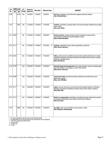| <b>PA</b> | <b>ENROLLED</b> |           | $LE^*$ | Governor   |                   | <b>Effective Date</b> |                                                                                                                                                                                                                                     |
|-----------|-----------------|-----------|--------|------------|-------------------|-----------------------|-------------------------------------------------------------------------------------------------------------------------------------------------------------------------------------------------------------------------------------|
| No.       | <b>HB</b>       | <b>SB</b> | Yes/No | Approved   | <b>Filed Date</b> |                       | <b>SUBJECT</b>                                                                                                                                                                                                                      |
| 0109      |                 | 0153      | Yes    | 11/5/2021  | 11/5/2021         | 2/3/2022              | Use tax; exemptions; sale of feminine hygiene products; exempt.<br>(Sen. Winnie Brinks)                                                                                                                                             |
| 0110      |                 | 0220      | Yes    | 11/10/2021 | 11/10/2021        | 11/10/2021            | Vehicles; registration; renewal of farm and wood harvester related license plates<br>online; allow.<br>(Sen. Lana Theis)                                                                                                            |
|           | 0111 4059       |           | No     | 11/10/2021 | 11/10/2021        | 3/30/2022             | <b>Human services</b> ; medical services; autism evaluation review process<br>requirements for Medicaid benefit eligibility, modify.<br>(Rep. Pauline Wendzel)                                                                      |
|           | 0112 4117       |           | No     | 11/10/2021 | 11/10/2021        | 10/1/2022<br>#        | Vehicles; registration; 2-year vehicle registration; provide for.<br>(Rep. Steven Johnson)                                                                                                                                          |
| 0113 4281 |                 |           | Yes    | 11/10/2021 | 11/10/2021        | 11/10/2021            | Cities; public services; qualified city in the police and fire protection act; modify<br>population threshold, and expand definition of qualified city to include a city that<br>contains a qualified airport.<br>(Rep. Alex Garza) |
|           | 0114 4778       |           | Yes    | 11/22/2021 | 11/22/2021        | 11/22/2021            | State financing and management; other, state agencies using messaging apps<br>that allow deletion of messages to avoid FOIA: prohibit.<br>(Rep. Steven Johnson)                                                                     |
| 0115 4694 |                 |           | Yes    | 11/22/2021 | 11/22/2021        | 11/22/2021            | <b>Commercial code</b> ; secured transactions; references to certain forms and<br>statements; update.<br>(Rep. Jack O'Malley)                                                                                                       |
| 0116 4711 |                 |           | Yes    | 11/22/2021 | 11/22/2021        | 11/22/2021            | Liquor; licenses; license to serve alcohol at the baseball stadiums of Eastern<br>Mchigan University and Oakland University, allow under certain conditions.<br>(Rep. Matt Hall)                                                    |
|           | 0117 4171       |           | Yes    | 11/30/2021 | 11/30/2021        | 11/30/2021            | Worker's compensation; disabilities; occupational cancer; extend presumption<br>of causation to fire/crash rescue officers and forest fire officers.<br>(Rep. Sue Allor)                                                            |
| 0118      |                 | 0683      | Yes    | 11/30/2021 | 11/30/2021        | 11/30/2021            | Juveniles; other, court jurisdiction over juveniles; modify.<br>(Sen. Michael D. MacDonald)                                                                                                                                         |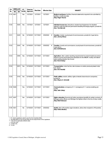| <b>PA</b> | <b>ENROLLED</b> |           | IE*    | Governor   | <b>Filed Date</b> | <b>Effective Date</b> | <b>SUBJECT</b>                                                                                                                                                                                                               |
|-----------|-----------------|-----------|--------|------------|-------------------|-----------------------|------------------------------------------------------------------------------------------------------------------------------------------------------------------------------------------------------------------------------|
| No.       | <b>HB</b>       | <b>SB</b> | Yes/No | Approved   |                   |                       |                                                                                                                                                                                                                              |
| 0119      | 4921            |           | Yes    | 12/7/2021  | 12/7/2021         | 12/7/2021             | Medical marihuana; facilities; financial statements required to be submitted by<br>facilities; modify due date.<br>(Rep. Roger Hauck)                                                                                        |
| 0120      |                 | 0025      | Yes    | 12/7/2021  | 12/7/2021         | 12/7/2021             | <b>Individual income tax</b> ; deductions; student loan forgiveness for disabled<br>veterans under the total and permanent disability discharge program; provide for.<br>(Sen. Tom Barrett)                                  |
| 0121      |                 | 0245      | No     | 12/16/2021 | 12/17/2021        | 3/30/2022<br>#        | <b>Counties</b> ; charter, county board of commissioners; provide for 4-year terms.<br>(Sen. Jeremy Moss)                                                                                                                    |
| 0122      |                 | 0242      | No     | 12/16/2021 | 12/17/2021        | 3/30/2022<br>#        | <b>Counties</b> ; boards and commissions; county board of commissioners; provide for<br>4-year terms.<br>(Sen. Ed McBroom)                                                                                                   |
| 0123      |                 | 0494      | Yes    | 12/16/2021 | 12/17/2021        | 12/17/2021            | Agriculture; other, certain reporting requirements for environmental assurance<br>advisory council and funding and standards for the MAEAP; modify, and extend<br>water quality protection fee sunset.<br>(Sen. Kevin Daley) |
| 0124      |                 | 0674      | Yes    | 12/16/2021 | 12/17/2021        | 12/17/2021            | Transportation; motor fuel tax; rate increase on certain previously-taxed motor<br>fuel; repeal.<br>(Sen. Aric Nesbitt)                                                                                                      |
| 0125      |                 | 0103      | Yes    | 12/16/2021 | 12/17/2021        | 12/17/2021            | Public utilities; electric utilities; rights of electric transmission companies;<br>provide for.<br>(Sen. Wayne A. Schmidt)                                                                                                  |
|           | 0126 5026       |           | Yes    | 12/16/2021 | 12/17/2021        | 12/17/2021            | Communications; emergency 9-1-1; emergency 9-1-1 service enabling act;<br>modify.<br>(Rep. Julie Calley)                                                                                                                     |
|           | 0127 4247       |           | Yes    | 12/16/2021 | 12/17/2021        | 12/17/2021            | Higher education; financial aid; tuition assistance benefits for certain survivors of<br>Mchigan police officers and Mchigan fire fighters killed in the line of duty, modify.<br>(Rep. Matt Koleszar)                       |
| 0128 4521 |                 |           | No     | 12/16/2021 | 12/17/2021        | 3/30/2022             | Health; other, HIV positive organ donations; allow when recipient is HIV positive.<br>(Rep. Felicia Brabec)                                                                                                                  |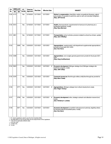| PA   | <b>ENROLLED</b> | I.E*      | Governor | <b>Filed Date</b> | <b>Effective Date</b> | <b>SUBJECT</b>  |                                                                                                                                                                                      |
|------|-----------------|-----------|----------|-------------------|-----------------------|-----------------|--------------------------------------------------------------------------------------------------------------------------------------------------------------------------------------|
| No.  | <b>HB</b>       | <b>SB</b> | Yes/No   | Approved          |                       |                 |                                                                                                                                                                                      |
| 0129 | 4172            |           | Yes      | 12/16/2021        | 12/17/2021            | 12/17/2021      | Worker's compensation; disabilities; certain occupational diseases; extend<br>presumption of causation to part-time, paid on-call, and volunteer firefighters.<br>(Rep. Jeff Yaroch) |
|      | 0130 5072       |           | Yes      | 12/16/2021        | 12/17/2021            | 12/17/2021      | Health; pharmaceuticals; requirements for licensure of a pharmacy as a<br>wholesale distributor; modify.<br>(Rep. Ryan Berman)                                                       |
|      | 0131 4861       |           | Yes      | 12/16/2021        | 12/17/2021            | 12/17/2021      | Transportation; school vehicles; provision related to school bus drivers; update.<br>(Rep. Jack O'Malley)                                                                            |
| 0132 |                 | 0085      | Yes      | 12/20/2021        | 12/21/2021            | 12/21/2021      | Appropriations; supplemental; multi-department supplemental appropriations;<br>provide for fiscal year 2021-2022.<br>(Sen. Ken Horn)                                                 |
|      | 0133 4398       |           | Yes      | 12/20/2021        | 12/21/2021            | 12/21/2021      | Appropriations; zero budget; general government; provide for fiscal year 2021-<br>2022.<br>(Rep. Greg VanWoerkom)                                                                    |
| 0134 | 5603            |           | Yes      | 12/20/2021        | 12/21/2021            | 12/27/2021<br># | Economic development; Michigan strategic fund; Michigan strategic site<br>readiness program; create.<br>(Rep. Julie Calley)                                                          |
|      | 0135 5376       |           | Yes      | 12/20/2021        | 12/21/2021            | 12/21/2021      | Corporate income tax; flow-through entities; entity flow-through tax; provide for.<br>(Rep. Mark Tisdel)                                                                             |
| 0136 |                 | 0771      | Yes      | 12/20/2021        | 12/21/2021            | 12/27/2021<br># | Appropriations; Mchigan strategic fund; critical industry fund; create.<br>(Sen. Roger Victory)                                                                                      |
| 0137 |                 | 0769      | Yes      | 12/20/2021        | 12/21/2021            | 12/27/2021<br># | Economic development; other, strategic outreach and attraction reserve fund;<br>create.<br>(Sen. Kimberly A. LaSata)                                                                 |
| 0138 |                 | 0671      | Yes      | 12/23/2021        | 12/27/2021            | 12/27/2021      | Economic development; brownfield redevelopment authority, eligibility criteria<br>for transformational brownfield plans; modify.<br>(Sen. Ken Horn)                                  |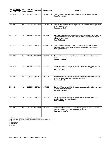| PA   |           | <b>ENROLLED</b><br><b>HB</b><br><b>SB</b> | I.E*   | Governor   | <b>Filed Date</b> | <b>Effective Date</b> | <b>SUBJECT</b>                                                                                                                                                                                                       |
|------|-----------|-------------------------------------------|--------|------------|-------------------|-----------------------|----------------------------------------------------------------------------------------------------------------------------------------------------------------------------------------------------------------------|
| No.  |           |                                           | Yes/No | Approved   |                   |                       |                                                                                                                                                                                                                      |
| 0139 | 4780      |                                           | Yes    | 12/23/2021 | 12/27/2021        | 3/27/2022<br>#        | Trade; containers; distribution of bottle deposit fund; modify and earmark.<br>(Rep. Mike Mueller)                                                                                                                   |
|      | 0140 4781 |                                           | Yes    | 12/23/2021 | 12/27/2021        | 3/27/2022<br>#        | Trade; containers, distributors to originate and maintain a record of deposits on<br>certain containers; require.<br>(Rep. Andrew Fink)                                                                              |
|      | 0141 4782 |                                           | Yes    | 12/23/2021 | 12/27/2021        | 3/27/2022<br>#        | Criminal procedure; sentencing guidelines; sentencing guidelines for failure to<br>originate and maintain record of deposits on certain containers with intent to<br>defraud or cheat; create.<br>(Rep. Tim Sneller) |
|      | 0142 4783 |                                           | Yes    | 12/23/2021 | 12/27/2021        | 3/27/2022<br>#        | Trade; containers; penalties for failure to originate and maintain record of<br>deposits on certain containers with the intent to defraud or cheat; establish.<br>(Rep. Tyrone Carter)                               |
|      | 0143 4082 |                                           | Yes    | 12/23/2021 | 12/27/2021        | 12/27/2021<br>#       | Appropriations; grants and transfers; state administrative board limitations;<br>modify.<br>(Rep. Ben Frederick)                                                                                                     |
|      | 0144 4282 |                                           | Yes    | 12/23/2021 | 12/27/2021        | 12/27/2021            | Elections; filing fees; candidate filing fee in lieu of nominating petitions for the<br>office of state senator or state representative; make nonrefundable.<br>(Rep. Julie Calley)                                  |
|      | 0145 4283 |                                           | Yes    | 12/23/2021 | 12/27/2021        | 12/27/2021            | Elections; filing fees; candidate filing fee in lieu of nominating petitions for the<br>office of county commissioner; make nonrefundable.<br>(Rep. Terry Sabo)                                                      |
|      | 0146 4284 |                                           | Yes    | 12/23/2021 | 12/27/2021        | 12/27/2021            | <b>Elections</b> ; filing fees; candidate filing fee in lieu of nominating petitions for county<br>offices; make nonrefundable.<br>(Rep. Matt Koleszar)                                                              |
|      | 0147 4285 |                                           | Yes    | 12/23/2021 | 12/27/2021        | 12/27/2021            | Elections; filing fees; candidate filing fee in lieu of nominating petitions for<br>township offices; make nonrefundable.<br>(Rep. Ann Bollin)                                                                       |
|      | 0148 4787 |                                           | Yes    | 12/23/2021 | 12/27/2021        | 12/27/2021            | Traffic control; driver license; waiver of knowledge test for an individual with<br>military commercial motor vehicle experience; provide for.<br>(Rep. Gregory Markkanen)                                           |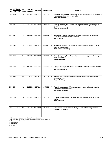| PA        |           | <b>ENROLLED</b><br><b>HB</b><br><b>SB</b> | I.E*      | Governor   | <b>Filed Date</b> | <b>Effective Date</b> |   | <b>SUBJECT</b>                                                                                                                                                     |
|-----------|-----------|-------------------------------------------|-----------|------------|-------------------|-----------------------|---|--------------------------------------------------------------------------------------------------------------------------------------------------------------------|
| No.       |           |                                           | Yes/No    | Approved   |                   |                       |   |                                                                                                                                                                    |
| 0149      | 4294      |                                           | Yes       | 12/23/2021 | 12/27/2021        | 12/27/2021            |   | <b>Education</b> ; teachers; exception for college credit requirements for an individual to<br>serve as a substitute teacher; provide for.<br>(Rep. Brad Paquette) |
| 0150 5351 |           |                                           | No        | 12/23/2021 | 12/27/2021        | 12/31/2022            |   | <b>Property tax</b> exemptions; small business personal property tax exemption;<br>modify.<br>(Rep. Steven Johnson)                                                |
| 0151 5447 |           |                                           | No        | 12/23/2021 | 12/27/2021        | 3/30/2022             | # | <b>Businesses</b> ; business corporations; protection of corporate names; include<br>historically black colleges and universities.<br>(Rep. Joe Tate)              |
|           | 0152 5448 |                                           | <b>No</b> | 12/23/2021 | 12/27/2021        | 3/30/2022             | # | <b>Businesses</b> ; business corporations; educational corporation; allow to reopen<br>under certain conditions.<br>(Rep. Pamela Hornberger)                       |
| 0153      | 5502      |                                           | Yes       | 12/23/2021 | 12/27/2021        | 12/27/2021            | # | Property tax; exemptions; filing for eligible manufacturing personal property tax<br>exemptions; modify.<br>(Rep. Mark Tisdel)                                     |
|           | 0154 5503 |                                           | Yes       | 12/23/2021 | 12/27/2021        | 12/27/2021            | # | Property tax; exemptions; filing for eligible manufacturing personal property tax<br>exemptions; modify.<br>(Rep. Diana Farrington)                                |
| 0155 5504 |           |                                           | Yes       | 12/23/2021 | 12/27/2021        | 12/27/2021            | # | <b>Property tax</b> ; state essential services assessment; state essential services<br>assessment; modify.<br>(Rep. Julie Calley)                                  |
|           | 0156 5505 |                                           | Yes       | 12/23/2021 | 12/27/2021        | 12/27/2021            | # | <b>Property tax</b> ; state essential services assessment; alternative state essential<br>services assessment; modify.<br>(Rep. Mary Cavanagh)                     |
|           | 0157 5506 |                                           | Yes       | 12/23/2021 | 12/27/2021        | 12/27/2021            |   | Taxation; other, eligibility for certain industrial facilities exemption certificates;<br>modify.<br>(Rep. Jim Ellison)                                            |
| 0158      |           | 0212                                      | Yes       | 12/23/2021 | 12/27/2021        | 12/27/2021            |   | Elections; candidates; affidavit of identity, expand, and clarify requirements.<br>(Sen. Ruth A. Johnson)                                                          |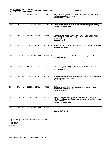| <b>PA</b> | <b>ENROLLED</b> | $LE^*$    | Governor  | <b>Filed Date</b> | <b>Effective Date</b> | <b>SUBJECT</b>  |                                                                                                                                                                                                                   |
|-----------|-----------------|-----------|-----------|-------------------|-----------------------|-----------------|-------------------------------------------------------------------------------------------------------------------------------------------------------------------------------------------------------------------|
| No.       | <b>HB</b>       | <b>SB</b> | Yes/No    | Approved          |                       |                 |                                                                                                                                                                                                                   |
| 0159      |                 | 0213      | <b>No</b> | 12/23/2021        | 12/27/2021            | 3/30/2022       | Human services; long-term care; duties of the long-term care ombudsman;<br>modify during a declared emergency.<br>(Sen. Kimberly A. LaSata)                                                                       |
| 0160      |                 | 0461      | <b>No</b> | 12/23/2021        | 12/27/2021            | 3/30/2022<br>#  | Medical marihuana; licenses; proof of financial responsibility criteria; modify.<br>(Sen. Curtis S. VanderWall)                                                                                                   |
| 0161      |                 | 0462      | <b>No</b> | 12/23/2021        | 12/27/2021            | 3/30/2022<br>#  | Medical marihuana; licenses; approval of an application for a state license;<br>make contingent upon licensee's compliance with financial responsibility<br>requirements.<br>(Sen. Paul Wojno)                    |
| 0162      |                 | 0637      | Yes       | 12/23/2021        | 12/27/2021            | 12/27/2021<br># | Mental health; other, community crisis response grant fund and program; create.<br>(Sen. Stephanie Chang)                                                                                                         |
| 0163      |                 | 0638      | Yes       | 12/23/2021        | 12/27/2021            | 12/27/2021<br># | Mental health; other, behavioral health jail diversion program; create.<br>(Sen. Rick Outman)                                                                                                                     |
| 0164      |                 | 0698      | Yes       | 12/23/2021        | 12/27/2021            | 12/27/2021      | Property tax; personal property; assessment situs of personal property<br>relocated due to the COVID-19 pandemic; provide for.<br>(Sen. Jim Runestad)                                                             |
| 0165      |                 | 0723      | Yes       | 12/23/2021        | 12/27/2021            | 12/27/2021      | Economic development; neighborhood enterprise zones; filing of neighborhood<br>enterprise zone certificate; modify.<br>(Sen. Ken Horn)                                                                            |
| 0166      |                 | 0728      | Yes       | 12/23/2021        | 12/27/2021            | 12/27/2021      | Civil rights; open meetings; open meetings of the independent citizens<br>redistricting commission; require.<br>(Sen. Ed McBroom)                                                                                 |
| 0167      |                 | 0759      | Yes       | 12/23/2021        | 12/27/2021            | 12/27/2021      | Health occupations; health professionals; exemption from licensure for<br>individuals who hold an out-of-state license; provide for during epidemic-related<br>staffing shortages.<br>(Sen. Curtis S. VanderWall) |
| 0168      |                 | 0764      | Yes       | 12/23/2021        | 12/27/2021            | 12/27/2021      | Individual income tax; income; deduction for certain wagering losses; provide<br>for.<br>(Sen. Curtis Hertel, Jr.)                                                                                                |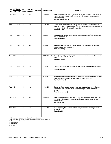| PA   | <b>ENROLLED</b> | $LE^*$    | Governor  | <b>Filed Date</b> | <b>Effective Date</b> | <b>SUBJECT</b> |                                                                                                                                                                                                                                         |  |
|------|-----------------|-----------|-----------|-------------------|-----------------------|----------------|-----------------------------------------------------------------------------------------------------------------------------------------------------------------------------------------------------------------------------------------|--|
| No.  | <b>HB</b>       | <b>SB</b> |           | Yes/No            | Approved              |                |                                                                                                                                                                                                                                         |  |
| Veto | 4049            |           | No        | No                |                       | 3/9/2021       | Health; diseases; authority to close certain schools to in-person instruction and<br>prohibit certain sporting events in emergency orders issued in response to an<br>epidemic; modify.<br>(Rep. Pamela Hornberger)                     |  |
| Veto |                 | 0001      | No        | No                |                       | 3/24/2021      | Health; diseases; time limits on emergency orders issued in response to an<br>epidemic; provide for unless extension is approved by the legislature and require<br>emergency order to include certain information.<br>(Sen. Lana Theis) |  |
| Veto |                 | 0029      | <b>No</b> | No                |                       | 3/26/2021      | Appropriations; supplemental; supplemental appropriations for 2019-2020 and<br>2020-2021; provide for.<br>(Sen. Jim Stamas)                                                                                                             |  |
| Veto |                 | 0114      | <b>No</b> | <b>No</b>         |                       | 3/26/2021      | Appropriations; zero budget; multidepartment supplemental appropriations;<br>provide for fiscal year 2020-2021.<br>(Sen. Jim Stamas)                                                                                                    |  |
| Veto | 4210            |           | <b>No</b> | No                |                       | 4/14/2021<br># | Property tax; utility property; eligible broadband equipment; exempt from certain<br>taxes.<br>(Rep. Beth Griffin)                                                                                                                      |  |
| Veto |                 | 0046      | No.       | No                |                       | 5/13/2021      | Property tax; exemptions; eligible broadband equipment; exempt from personal<br>property tax.<br>(Sen. Aric Nesbitt)                                                                                                                    |  |
| Veto |                 | 0017      | No        | No                |                       | 5/19/2021      | Public employees and officers; other, 1968 PA317 regarding contracts of public<br>servants with public entities; modify certain population thresholds.<br>(Sen. Dale W. Zorn)                                                           |  |
| Veto | 4448            |           | No        | No                |                       | 6/3/2021       | State financing and management; other, suspension of freedom of information<br>act requests in an executive order under the emergency management act;<br>prohibit.<br>(Rep. Steven Johnson)                                             |  |
|      | Veto 4728       |           | <b>No</b> | No                |                       | 6/3/2021       | Health; diseases; exemption for high school commencement ceremonies from<br>emergency orders issued to control an epidemic; provide for under certain<br>circumstances.<br>(Rep. Ann Bollin)                                            |  |
|      | Veto 4224       |           | No.       | <b>No</b>         |                       | 6/25/2021      | Sales tax; exemptions; exemption for certain personal protective equipment;<br>provide for.<br>(Rep. Jim Lilly)                                                                                                                         |  |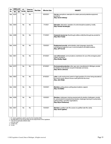| <b>PA</b> | <b>ENROLLED</b><br><b>HB</b><br><b>SB</b> | $LE^*$ | Governor<br>Approved | <b>Filed Date</b> | <b>Effective Date</b> | <b>SUBJECT</b> |                                                                                                                                                                                                                                               |
|-----------|-------------------------------------------|--------|----------------------|-------------------|-----------------------|----------------|-----------------------------------------------------------------------------------------------------------------------------------------------------------------------------------------------------------------------------------------------|
| No.       |                                           | Yes/No |                      |                   |                       |                |                                                                                                                                                                                                                                               |
| Veto      | 4225                                      |        | No                   | No                |                       | 6/25/2021      | Use tax; exemptions; exemption for certain personal protective equipment;<br>provide for.<br>(Rep. Sarah Anthony)                                                                                                                             |
| Veto      | 4945                                      |        | No                   | <b>No</b>         |                       | 7/1/2021       | <b>Education</b> ; alternative; operation of a strict discipline academy, modify.<br>(Rep. Pamela Hornberger)                                                                                                                                 |
| Veto      | 4288                                      |        | No                   | No                |                       | 7/13/2021      | Corporate income tax; flow-through entities; entity flow-through tax; provide for.<br>(Rep. Mark Tisdel)                                                                                                                                      |
| Veto      | 4434                                      |        | No                   | <b>No</b>         |                       | 7/20/2021      | <b>Employment security</b> ; administration; plain language; require the<br>unemployment agency to use in communications and determinations.<br>(Rep. Jeff Yaroch)                                                                            |
| Veto      | 4061                                      |        | No                   | No                |                       | 9/10/2021      | Law enforcement; communications; restrictions for use of the emergency alert<br>system; provide for.<br>(Rep. Bradley Slagh)                                                                                                                  |
| Veto      | 4272                                      |        | No                   | No                |                       | 9/10/2021      | Environmental protection; other, gas cans manufactured in Mchigan; provide<br>for labeling of and declare not part of interstate commerce.<br>(Rep. Steven Johnson)                                                                           |
| Veto      | 4063                                      |        | No                   | No                |                       | 9/16/2021      | Labor; youth employment, parent or legal guardian of a minor being educated at<br>the minor's home; allow to issue a work permit for the minor.<br>(Rep. John Reilly)                                                                         |
| Veto      | 4492                                      |        | No                   | <b>No</b>         |                       | 10/3/2021      | Elections; polling places; polling place locations; expand.<br>(Rep. Ann Bollin)                                                                                                                                                              |
|           | Veto 4528                                 |        | No                   | No                |                       | 10/3/2021      | Elections; challengers; training requirements for election challengers; provide<br>for, and provide for comprehensive election challenger training for county derks,<br>political parties, and other organizations.<br>(Rep. Bryan Posthumus) |
| Veto      | 4837                                      |        | No                   | <b>No</b>         |                       | 10/3/2021      | Elections; qualified voter file; access to qualified voter file; clarify.<br>(Rep. Sarah Lightner)                                                                                                                                            |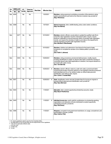| <b>PA</b> | <b>ENROLLED</b> | $LE^*$    | Governor  |           | <b>Effective Date</b> | <b>SUBJECT</b>    |                                                                                                                                                                                                                                                                                                                                                                                                                                         |  |
|-----------|-----------------|-----------|-----------|-----------|-----------------------|-------------------|-----------------------------------------------------------------------------------------------------------------------------------------------------------------------------------------------------------------------------------------------------------------------------------------------------------------------------------------------------------------------------------------------------------------------------------------|--|
| No.       | <b>HB</b>       | <b>SB</b> | Yes/No    |           | Approved              | <b>Filed Date</b> |                                                                                                                                                                                                                                                                                                                                                                                                                                         |  |
| Veto      | 4838            |           | No        | No        |                       | 10/3/2021         | <b>Elections</b> ; voting equipment; prohibiting connection of the electronic voting<br>system and electronic poll book to the internet on election day, provide for.<br>(Rep. Phil Green)                                                                                                                                                                                                                                              |  |
| Veto      | 4088            |           | No        | <b>No</b> |                       | 10/7/2021         | Natural resources; other, wildlife feeding; allow under certain conditions.<br>(Rep. Ken Borton)                                                                                                                                                                                                                                                                                                                                        |  |
| Veto      |                 | 0277      | No        | <b>No</b> |                       | 10/15/2021        | <b>Elections</b> ; election officials; county clerks to update the qualified voter file to<br>cancel the voter registration records of deceased voters; require, require<br>electronic notification to city and township clerks of canceled voter registration<br>records, and require the secretary of state to post data on the department's<br>website regarding canceled voter registration records.<br>(Sen. Michael D. MacDonald) |  |
| Veto      |                 | 0280      | <b>No</b> | <b>No</b> |                       | 10/15/2021        | <b>Elections</b> ; initiative and referendum; time frame for the board of state<br>canvassers to complete the canvass of an initiative petition; provide for and<br>clarify.<br>(Sen. Ruth A. Johnson)                                                                                                                                                                                                                                  |  |
| Veto      |                 | 0303      | <b>No</b> | <b>No</b> |                       | 10/29/2021        | Elections; voting procedures; provisional ballot process; modify, require<br>providing identification to obtain an absent voter ballot, prohibit the sending of<br>unsolicited absent voter ballot applications to electors, and require elections to<br>be funded with public money.<br>(Sen. Tom Barrett)                                                                                                                             |  |
| Veto      |                 | 0304      | No        | No        |                       | 10/29/2021<br>#   | Elections; election officials; notice to a voter who votes a provisional ballot<br>concerning the burden of proof to verify his or her identity to have the provisional<br>ballot tabulated and his or her ability to obtain an official state personal<br>identification card without a fee; require.<br>(Sen. Curtis S. VanderWall)                                                                                                   |  |
| Veto      | 5007            |           | No        | No        |                       | 10/29/2021<br>#   | <b>State</b> ; <i>identification cards</i> ; removal of certain fees for issuing an original or<br>renewal official state personal identification card; provide for.<br>(Rep. Ryan Berman)                                                                                                                                                                                                                                              |  |
|           | Veto 5404       |           | No        | No        |                       | 11/5/2021         | Education; other, student opportunity scholarship accounts; create.<br>(Rep. Bryan Posthumus)                                                                                                                                                                                                                                                                                                                                           |  |
|           | Veto 5405       |           | No        | No        |                       | 11/5/2021<br>#    | <b>Individual income tax</b> credit, credit for contributions to scholarship-granting<br>organizations and deduction of funds distributed to student opportunity<br>scholarship accounts; provide for.<br>(Rep. Phil Green)                                                                                                                                                                                                             |  |
| Veto      | 4066            |           | No        | No        |                       | 11/5/2021         | Weapons; concealed; local government restrictions on usage, concealment, and<br>transportation of knives; prohibit.<br>(Rep. Andrew Fink)                                                                                                                                                                                                                                                                                               |  |